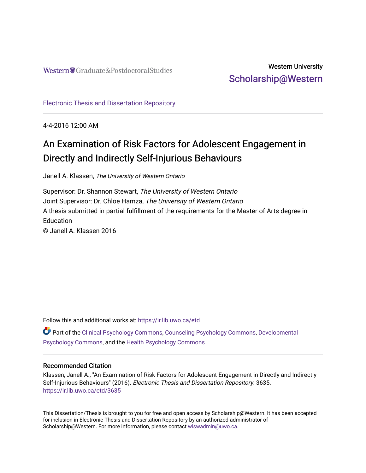## Western University [Scholarship@Western](https://ir.lib.uwo.ca/)

[Electronic Thesis and Dissertation Repository](https://ir.lib.uwo.ca/etd)

4-4-2016 12:00 AM

# An Examination of Risk Factors for Adolescent Engagement in Directly and Indirectly Self-Injurious Behaviours

Janell A. Klassen, The University of Western Ontario

Supervisor: Dr. Shannon Stewart, The University of Western Ontario Joint Supervisor: Dr. Chloe Hamza, The University of Western Ontario A thesis submitted in partial fulfillment of the requirements for the Master of Arts degree in **Education** © Janell A. Klassen 2016

Follow this and additional works at: [https://ir.lib.uwo.ca/etd](https://ir.lib.uwo.ca/etd?utm_source=ir.lib.uwo.ca%2Fetd%2F3635&utm_medium=PDF&utm_campaign=PDFCoverPages) 

Part of the [Clinical Psychology Commons,](http://network.bepress.com/hgg/discipline/406?utm_source=ir.lib.uwo.ca%2Fetd%2F3635&utm_medium=PDF&utm_campaign=PDFCoverPages) [Counseling Psychology Commons](http://network.bepress.com/hgg/discipline/1044?utm_source=ir.lib.uwo.ca%2Fetd%2F3635&utm_medium=PDF&utm_campaign=PDFCoverPages), [Developmental](http://network.bepress.com/hgg/discipline/410?utm_source=ir.lib.uwo.ca%2Fetd%2F3635&utm_medium=PDF&utm_campaign=PDFCoverPages)  [Psychology Commons,](http://network.bepress.com/hgg/discipline/410?utm_source=ir.lib.uwo.ca%2Fetd%2F3635&utm_medium=PDF&utm_campaign=PDFCoverPages) and the [Health Psychology Commons](http://network.bepress.com/hgg/discipline/411?utm_source=ir.lib.uwo.ca%2Fetd%2F3635&utm_medium=PDF&utm_campaign=PDFCoverPages) 

#### Recommended Citation

Klassen, Janell A., "An Examination of Risk Factors for Adolescent Engagement in Directly and Indirectly Self-Injurious Behaviours" (2016). Electronic Thesis and Dissertation Repository. 3635. [https://ir.lib.uwo.ca/etd/3635](https://ir.lib.uwo.ca/etd/3635?utm_source=ir.lib.uwo.ca%2Fetd%2F3635&utm_medium=PDF&utm_campaign=PDFCoverPages)

This Dissertation/Thesis is brought to you for free and open access by Scholarship@Western. It has been accepted for inclusion in Electronic Thesis and Dissertation Repository by an authorized administrator of Scholarship@Western. For more information, please contact [wlswadmin@uwo.ca.](mailto:wlswadmin@uwo.ca)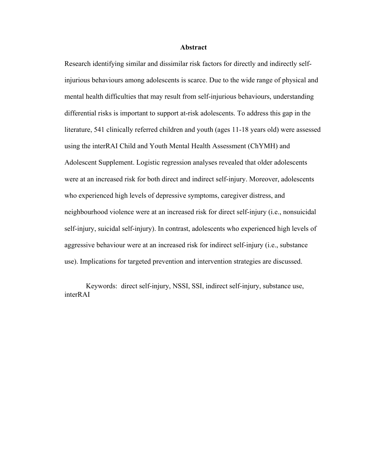#### **Abstract**

Research identifying similar and dissimilar risk factors for directly and indirectly selfinjurious behaviours among adolescents is scarce. Due to the wide range of physical and mental health difficulties that may result from self-injurious behaviours, understanding differential risks is important to support at-risk adolescents. To address this gap in the literature, 541 clinically referred children and youth (ages 11-18 years old) were assessed using the interRAI Child and Youth Mental Health Assessment (ChYMH) and Adolescent Supplement. Logistic regression analyses revealed that older adolescents were at an increased risk for both direct and indirect self-injury. Moreover, adolescents who experienced high levels of depressive symptoms, caregiver distress, and neighbourhood violence were at an increased risk for direct self-injury (i.e., nonsuicidal self-injury, suicidal self-injury). In contrast, adolescents who experienced high levels of aggressive behaviour were at an increased risk for indirect self-injury (i.e., substance use). Implications for targeted prevention and intervention strategies are discussed.

Keywords: direct self-injury, NSSI, SSI, indirect self-injury, substance use, interRAI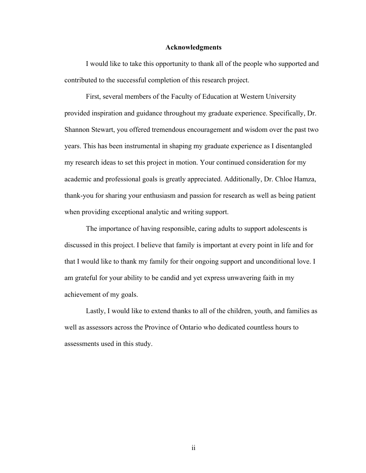#### **Acknowledgments**

I would like to take this opportunity to thank all of the people who supported and contributed to the successful completion of this research project.

First, several members of the Faculty of Education at Western University provided inspiration and guidance throughout my graduate experience. Specifically, Dr. Shannon Stewart, you offered tremendous encouragement and wisdom over the past two years. This has been instrumental in shaping my graduate experience as I disentangled my research ideas to set this project in motion. Your continued consideration for my academic and professional goals is greatly appreciated. Additionally, Dr. Chloe Hamza, thank-you for sharing your enthusiasm and passion for research as well as being patient when providing exceptional analytic and writing support.

The importance of having responsible, caring adults to support adolescents is discussed in this project. I believe that family is important at every point in life and for that I would like to thank my family for their ongoing support and unconditional love. I am grateful for your ability to be candid and yet express unwavering faith in my achievement of my goals.

Lastly, I would like to extend thanks to all of the children, youth, and families as well as assessors across the Province of Ontario who dedicated countless hours to assessments used in this study.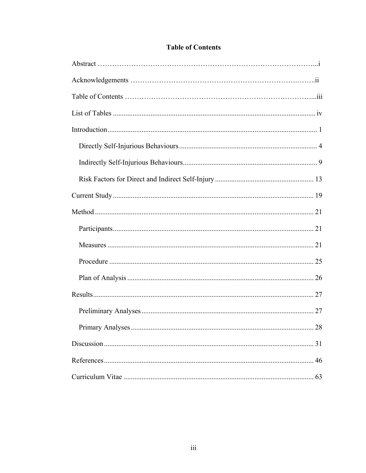| 28 |
|----|
|    |
|    |
|    |

## **Table of Contents**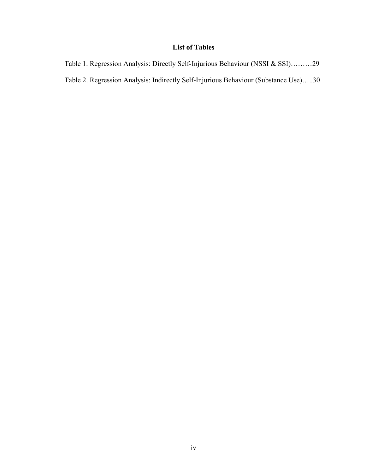## **List of Tables**

Table 1. Regression Analysis: Directly Self-Injurious Behaviour (NSSI & SSI)………29 Table 2. Regression Analysis: Indirectly Self-Injurious Behaviour (Substance Use)…..30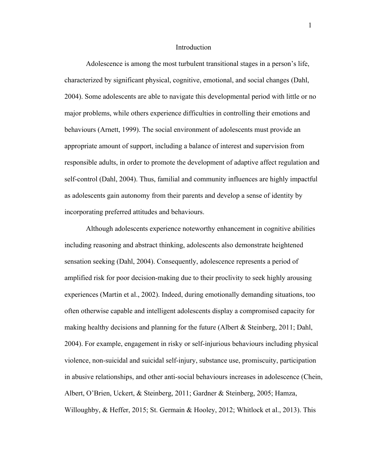#### Introduction

Adolescence is among the most turbulent transitional stages in a person's life, characterized by significant physical, cognitive, emotional, and social changes (Dahl, 2004). Some adolescents are able to navigate this developmental period with little or no major problems, while others experience difficulties in controlling their emotions and behaviours (Arnett, 1999). The social environment of adolescents must provide an appropriate amount of support, including a balance of interest and supervision from responsible adults, in order to promote the development of adaptive affect regulation and self-control (Dahl, 2004). Thus, familial and community influences are highly impactful as adolescents gain autonomy from their parents and develop a sense of identity by incorporating preferred attitudes and behaviours.

Although adolescents experience noteworthy enhancement in cognitive abilities including reasoning and abstract thinking, adolescents also demonstrate heightened sensation seeking (Dahl, 2004). Consequently, adolescence represents a period of amplified risk for poor decision-making due to their proclivity to seek highly arousing experiences (Martin et al., 2002). Indeed, during emotionally demanding situations, too often otherwise capable and intelligent adolescents display a compromised capacity for making healthy decisions and planning for the future (Albert  $\&$  Steinberg, 2011; Dahl, 2004). For example, engagement in risky or self-injurious behaviours including physical violence, non-suicidal and suicidal self-injury, substance use, promiscuity, participation in abusive relationships, and other anti-social behaviours increases in adolescence (Chein, Albert, O'Brien, Uckert, & Steinberg, 2011; Gardner & Steinberg, 2005; Hamza, Willoughby, & Heffer, 2015; St. Germain & Hooley, 2012; Whitlock et al., 2013). This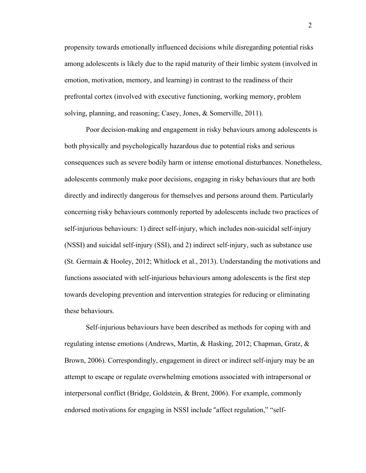propensity towards emotionally influenced decisions while disregarding potential risks among adolescents is likely due to the rapid maturity of their limbic system (involved in emotion, motivation, memory, and learning) in contrast to the readiness of their prefrontal cortex (involved with executive functioning, working memory, problem solving, planning, and reasoning; Casey, Jones, & Somerville, 2011).

Poor decision-making and engagement in risky behaviours among adolescents is both physically and psychologically hazardous due to potential risks and serious consequences such as severe bodily harm or intense emotional disturbances. Nonetheless, adolescents commonly make poor decisions, engaging in risky behaviours that are both directly and indirectly dangerous for themselves and persons around them. Particularly concerning risky behaviours commonly reported by adolescents include two practices of self-injurious behaviours: 1) direct self-injury, which includes non-suicidal self-injury (NSSI) and suicidal self-injury (SSI), and 2) indirect self-injury, such as substance use (St. Germain & Hooley, 2012; Whitlock et al., 2013). Understanding the motivations and functions associated with self-injurious behaviours among adolescents is the first step towards developing prevention and intervention strategies for reducing or eliminating these behaviours.

Self-injurious behaviours have been described as methods for coping with and regulating intense emotions (Andrews, Martin, & Hasking, 2012; Chapman, Gratz, & Brown, 2006). Correspondingly, engagement in direct or indirect self-injury may be an attempt to escape or regulate overwhelming emotions associated with intrapersonal or interpersonal conflict (Bridge, Goldstein, & Brent, 2006). For example, commonly endorsed motivations for engaging in NSSI include "affect regulation," "self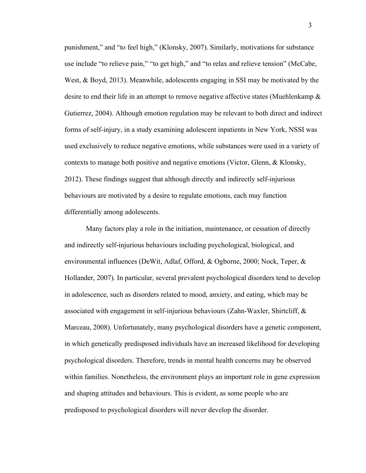punishment," and "to feel high," (Klonsky, 2007). Similarly, motivations for substance use include "to relieve pain," "to get high," and "to relax and relieve tension" (McCabe, West, & Boyd, 2013). Meanwhile, adolescents engaging in SSI may be motivated by the desire to end their life in an attempt to remove negative affective states (Muehlenkamp & Gutierrez, 2004). Although emotion regulation may be relevant to both direct and indirect forms of self-injury, in a study examining adolescent inpatients in New York, NSSI was used exclusively to reduce negative emotions, while substances were used in a variety of contexts to manage both positive and negative emotions (Victor, Glenn, & Klonsky, 2012). These findings suggest that although directly and indirectly self-injurious behaviours are motivated by a desire to regulate emotions, each may function differentially among adolescents.

Many factors play a role in the initiation, maintenance, or cessation of directly and indirectly self-injurious behaviours including psychological, biological, and environmental influences (DeWit, Adlaf, Offord, & Ogborne, 2000; Nock, Teper, & Hollander, 2007). In particular, several prevalent psychological disorders tend to develop in adolescence, such as disorders related to mood, anxiety, and eating, which may be associated with engagement in self-injurious behaviours (Zahn-Waxler, Shirtcliff,  $\&$ Marceau, 2008). Unfortunately, many psychological disorders have a genetic component, in which genetically predisposed individuals have an increased likelihood for developing psychological disorders. Therefore, trends in mental health concerns may be observed within families. Nonetheless, the environment plays an important role in gene expression and shaping attitudes and behaviours. This is evident, as some people who are predisposed to psychological disorders will never develop the disorder.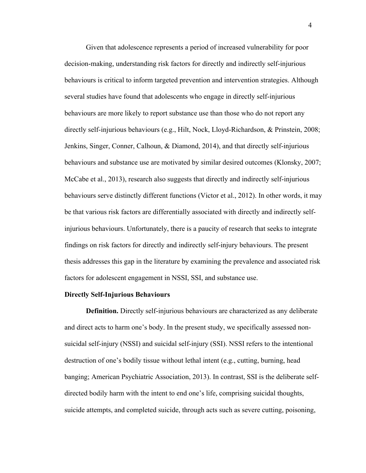Given that adolescence represents a period of increased vulnerability for poor decision-making, understanding risk factors for directly and indirectly self-injurious behaviours is critical to inform targeted prevention and intervention strategies. Although several studies have found that adolescents who engage in directly self-injurious behaviours are more likely to report substance use than those who do not report any directly self-injurious behaviours (e.g., Hilt, Nock, Lloyd-Richardson, & Prinstein, 2008; Jenkins, Singer, Conner, Calhoun, & Diamond, 2014), and that directly self-injurious behaviours and substance use are motivated by similar desired outcomes (Klonsky, 2007; McCabe et al., 2013), research also suggests that directly and indirectly self-injurious behaviours serve distinctly different functions (Victor et al., 2012). In other words, it may be that various risk factors are differentially associated with directly and indirectly selfinjurious behaviours. Unfortunately, there is a paucity of research that seeks to integrate findings on risk factors for directly and indirectly self-injury behaviours. The present thesis addresses this gap in the literature by examining the prevalence and associated risk factors for adolescent engagement in NSSI, SSI, and substance use.

#### **Directly Self-Injurious Behaviours**

**Definition.** Directly self-injurious behaviours are characterized as any deliberate and direct acts to harm one's body. In the present study, we specifically assessed nonsuicidal self-injury (NSSI) and suicidal self-injury (SSI). NSSI refers to the intentional destruction of one's bodily tissue without lethal intent (e.g., cutting, burning, head banging; American Psychiatric Association, 2013). In contrast, SSI is the deliberate selfdirected bodily harm with the intent to end one's life, comprising suicidal thoughts, suicide attempts, and completed suicide, through acts such as severe cutting, poisoning,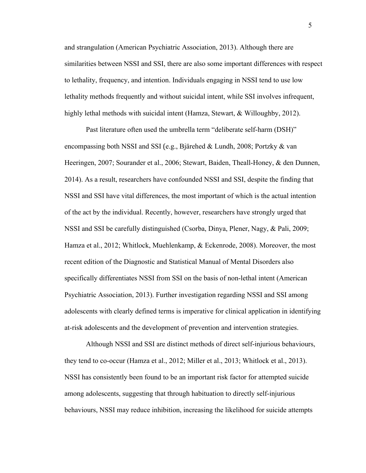and strangulation (American Psychiatric Association, 2013). Although there are similarities between NSSI and SSI, there are also some important differences with respect to lethality, frequency, and intention. Individuals engaging in NSSI tend to use low lethality methods frequently and without suicidal intent, while SSI involves infrequent, highly lethal methods with suicidal intent (Hamza, Stewart, & Willoughby, 2012).

Past literature often used the umbrella term "deliberate self-harm (DSH)" encompassing both NSSI and SSI (e.g., Bjärehed & Lundh, 2008; Portzky & van Heeringen, 2007; Sourander et al., 2006; Stewart, Baiden, Theall-Honey, & den Dunnen, 2014). As a result, researchers have confounded NSSI and SSI, despite the finding that NSSI and SSI have vital differences, the most important of which is the actual intention of the act by the individual. Recently, however, researchers have strongly urged that NSSI and SSI be carefully distinguished (Csorba, Dinya, Plener, Nagy, & Pali, 2009; Hamza et al., 2012; Whitlock, Muehlenkamp, & Eckenrode, 2008). Moreover, the most recent edition of the Diagnostic and Statistical Manual of Mental Disorders also specifically differentiates NSSI from SSI on the basis of non-lethal intent (American Psychiatric Association, 2013). Further investigation regarding NSSI and SSI among adolescents with clearly defined terms is imperative for clinical application in identifying at-risk adolescents and the development of prevention and intervention strategies.

Although NSSI and SSI are distinct methods of direct self-injurious behaviours, they tend to co-occur (Hamza et al., 2012; Miller et al., 2013; Whitlock et al., 2013). NSSI has consistently been found to be an important risk factor for attempted suicide among adolescents, suggesting that through habituation to directly self-injurious behaviours, NSSI may reduce inhibition, increasing the likelihood for suicide attempts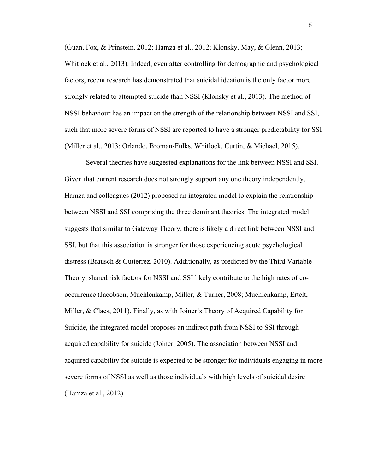(Guan, Fox, & Prinstein, 2012; Hamza et al., 2012; Klonsky, May, & Glenn, 2013; Whitlock et al., 2013). Indeed, even after controlling for demographic and psychological factors, recent research has demonstrated that suicidal ideation is the only factor more strongly related to attempted suicide than NSSI (Klonsky et al., 2013). The method of NSSI behaviour has an impact on the strength of the relationship between NSSI and SSI, such that more severe forms of NSSI are reported to have a stronger predictability for SSI (Miller et al., 2013; Orlando, Broman-Fulks, Whitlock, Curtin, & Michael, 2015).

Several theories have suggested explanations for the link between NSSI and SSI. Given that current research does not strongly support any one theory independently, Hamza and colleagues (2012) proposed an integrated model to explain the relationship between NSSI and SSI comprising the three dominant theories. The integrated model suggests that similar to Gateway Theory, there is likely a direct link between NSSI and SSI, but that this association is stronger for those experiencing acute psychological distress (Brausch & Gutierrez, 2010). Additionally, as predicted by the Third Variable Theory, shared risk factors for NSSI and SSI likely contribute to the high rates of cooccurrence (Jacobson, Muehlenkamp, Miller, & Turner, 2008; Muehlenkamp, Ertelt, Miller, & Claes, 2011). Finally, as with Joiner's Theory of Acquired Capability for Suicide, the integrated model proposes an indirect path from NSSI to SSI through acquired capability for suicide (Joiner, 2005). The association between NSSI and acquired capability for suicide is expected to be stronger for individuals engaging in more severe forms of NSSI as well as those individuals with high levels of suicidal desire (Hamza et al., 2012).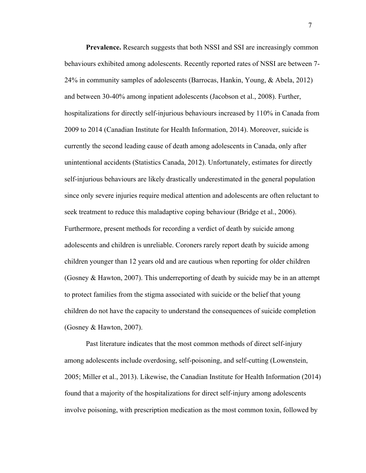**Prevalence.** Research suggests that both NSSI and SSI are increasingly common behaviours exhibited among adolescents. Recently reported rates of NSSI are between 7- 24% in community samples of adolescents (Barrocas, Hankin, Young, & Abela, 2012) and between 30-40% among inpatient adolescents (Jacobson et al., 2008). Further, hospitalizations for directly self-injurious behaviours increased by 110% in Canada from 2009 to 2014 (Canadian Institute for Health Information, 2014). Moreover, suicide is currently the second leading cause of death among adolescents in Canada, only after unintentional accidents (Statistics Canada, 2012). Unfortunately, estimates for directly self-injurious behaviours are likely drastically underestimated in the general population since only severe injuries require medical attention and adolescents are often reluctant to seek treatment to reduce this maladaptive coping behaviour (Bridge et al., 2006). Furthermore, present methods for recording a verdict of death by suicide among adolescents and children is unreliable. Coroners rarely report death by suicide among children younger than 12 years old and are cautious when reporting for older children (Gosney & Hawton, 2007). This underreporting of death by suicide may be in an attempt to protect families from the stigma associated with suicide or the belief that young children do not have the capacity to understand the consequences of suicide completion (Gosney & Hawton, 2007).

Past literature indicates that the most common methods of direct self-injury among adolescents include overdosing, self-poisoning, and self-cutting (Lowenstein, 2005; Miller et al., 2013). Likewise, the Canadian Institute for Health Information (2014) found that a majority of the hospitalizations for direct self-injury among adolescents involve poisoning, with prescription medication as the most common toxin, followed by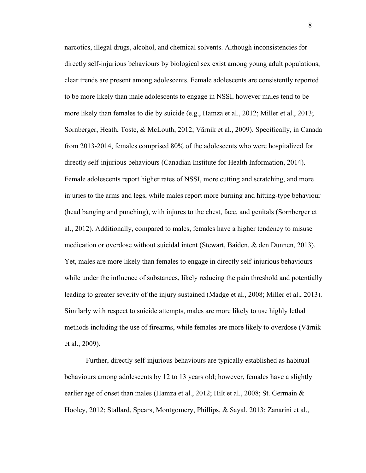narcotics, illegal drugs, alcohol, and chemical solvents. Although inconsistencies for directly self-injurious behaviours by biological sex exist among young adult populations, clear trends are present among adolescents. Female adolescents are consistently reported to be more likely than male adolescents to engage in NSSI, however males tend to be more likely than females to die by suicide (e.g., Hamza et al., 2012; Miller et al., 2013; Sornberger, Heath, Toste, & McLouth, 2012; Värnik et al., 2009). Specifically, in Canada from 2013-2014, females comprised 80% of the adolescents who were hospitalized for directly self-injurious behaviours (Canadian Institute for Health Information, 2014). Female adolescents report higher rates of NSSI, more cutting and scratching, and more injuries to the arms and legs, while males report more burning and hitting-type behaviour (head banging and punching), with injures to the chest, face, and genitals (Sornberger et al., 2012). Additionally, compared to males, females have a higher tendency to misuse medication or overdose without suicidal intent (Stewart, Baiden, & den Dunnen, 2013). Yet, males are more likely than females to engage in directly self-injurious behaviours while under the influence of substances, likely reducing the pain threshold and potentially leading to greater severity of the injury sustained (Madge et al., 2008; Miller et al., 2013). Similarly with respect to suicide attempts, males are more likely to use highly lethal methods including the use of firearms, while females are more likely to overdose (Värnik et al., 2009).

Further, directly self-injurious behaviours are typically established as habitual behaviours among adolescents by 12 to 13 years old; however, females have a slightly earlier age of onset than males (Hamza et al., 2012; Hilt et al., 2008; St. Germain  $\&$ Hooley, 2012; Stallard, Spears, Montgomery, Phillips, & Sayal, 2013; Zanarini et al.,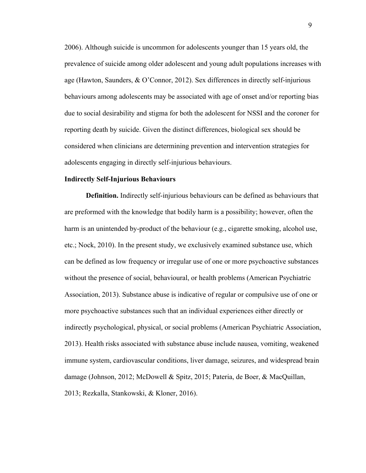2006). Although suicide is uncommon for adolescents younger than 15 years old, the prevalence of suicide among older adolescent and young adult populations increases with age (Hawton, Saunders, & O'Connor, 2012). Sex differences in directly self-injurious behaviours among adolescents may be associated with age of onset and/or reporting bias due to social desirability and stigma for both the adolescent for NSSI and the coroner for reporting death by suicide. Given the distinct differences, biological sex should be considered when clinicians are determining prevention and intervention strategies for adolescents engaging in directly self-injurious behaviours.

#### **Indirectly Self-Injurious Behaviours**

**Definition.** Indirectly self-injurious behaviours can be defined as behaviours that are preformed with the knowledge that bodily harm is a possibility; however, often the harm is an unintended by-product of the behaviour (e.g., cigarette smoking, alcohol use, etc.; Nock, 2010). In the present study, we exclusively examined substance use, which can be defined as low frequency or irregular use of one or more psychoactive substances without the presence of social, behavioural, or health problems (American Psychiatric Association, 2013). Substance abuse is indicative of regular or compulsive use of one or more psychoactive substances such that an individual experiences either directly or indirectly psychological, physical, or social problems (American Psychiatric Association, 2013). Health risks associated with substance abuse include nausea, vomiting, weakened immune system, cardiovascular conditions, liver damage, seizures, and widespread brain damage (Johnson, 2012; McDowell & Spitz, 2015; Pateria, de Boer, & MacQuillan, 2013; Rezkalla, Stankowski, & Kloner, 2016).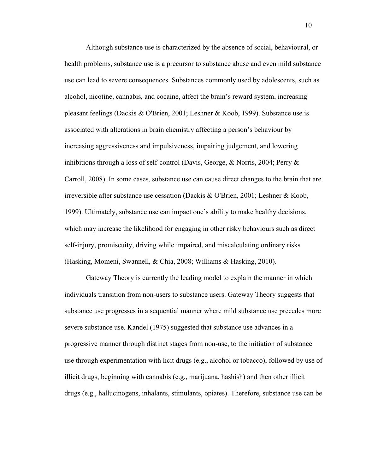Although substance use is characterized by the absence of social, behavioural, or health problems, substance use is a precursor to substance abuse and even mild substance use can lead to severe consequences. Substances commonly used by adolescents, such as alcohol, nicotine, cannabis, and cocaine, affect the brain's reward system, increasing pleasant feelings (Dackis & O'Brien, 2001; Leshner & Koob, 1999). Substance use is associated with alterations in brain chemistry affecting a person's behaviour by increasing aggressiveness and impulsiveness, impairing judgement, and lowering inhibitions through a loss of self-control (Davis, George, & Norris, 2004; Perry & Carroll, 2008). In some cases, substance use can cause direct changes to the brain that are irreversible after substance use cessation (Dackis & O'Brien, 2001; Leshner & Koob, 1999). Ultimately, substance use can impact one's ability to make healthy decisions, which may increase the likelihood for engaging in other risky behaviours such as direct self-injury, promiscuity, driving while impaired, and miscalculating ordinary risks (Hasking, Momeni, Swannell, & Chia, 2008; Williams & Hasking, 2010).

Gateway Theory is currently the leading model to explain the manner in which individuals transition from non-users to substance users. Gateway Theory suggests that substance use progresses in a sequential manner where mild substance use precedes more severe substance use. Kandel (1975) suggested that substance use advances in a progressive manner through distinct stages from non-use, to the initiation of substance use through experimentation with licit drugs (e.g., alcohol or tobacco), followed by use of illicit drugs, beginning with cannabis (e.g., marijuana, hashish) and then other illicit drugs (e.g., hallucinogens, inhalants, stimulants, opiates). Therefore, substance use can be

10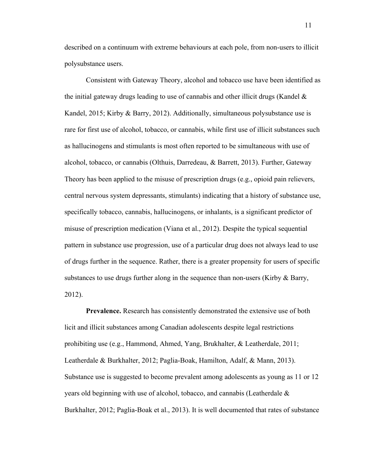described on a continuum with extreme behaviours at each pole, from non-users to illicit polysubstance users.

Consistent with Gateway Theory, alcohol and tobacco use have been identified as the initial gateway drugs leading to use of cannabis and other illicit drugs (Kandel  $\&$ Kandel, 2015; Kirby & Barry, 2012). Additionally, simultaneous polysubstance use is rare for first use of alcohol, tobacco, or cannabis, while first use of illicit substances such as hallucinogens and stimulants is most often reported to be simultaneous with use of alcohol, tobacco, or cannabis (Olthuis, Darredeau, & Barrett, 2013). Further, Gateway Theory has been applied to the misuse of prescription drugs (e.g., opioid pain relievers, central nervous system depressants, stimulants) indicating that a history of substance use, specifically tobacco, cannabis, hallucinogens, or inhalants, is a significant predictor of misuse of prescription medication (Viana et al., 2012). Despite the typical sequential pattern in substance use progression, use of a particular drug does not always lead to use of drugs further in the sequence. Rather, there is a greater propensity for users of specific substances to use drugs further along in the sequence than non-users (Kirby & Barry, 2012).

**Prevalence.** Research has consistently demonstrated the extensive use of both licit and illicit substances among Canadian adolescents despite legal restrictions prohibiting use (e.g., Hammond, Ahmed, Yang, Brukhalter, & Leatherdale, 2011; Leatherdale & Burkhalter, 2012; Paglia-Boak, Hamilton, Adalf, & Mann, 2013). Substance use is suggested to become prevalent among adolescents as young as 11 or 12 years old beginning with use of alcohol, tobacco, and cannabis (Leatherdale & Burkhalter, 2012; Paglia-Boak et al., 2013). It is well documented that rates of substance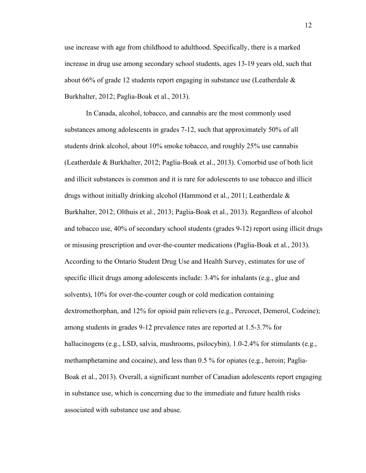use increase with age from childhood to adulthood. Specifically, there is a marked increase in drug use among secondary school students, ages 13-19 years old, such that about 66% of grade 12 students report engaging in substance use (Leatherdale & Burkhalter, 2012; Paglia-Boak et al., 2013).

In Canada, alcohol, tobacco, and cannabis are the most commonly used substances among adolescents in grades 7-12, such that approximately 50% of all students drink alcohol, about 10% smoke tobacco, and roughly 25% use cannabis (Leatherdale & Burkhalter, 2012; Paglia-Boak et al., 2013). Comorbid use of both licit and illicit substances is common and it is rare for adolescents to use tobacco and illicit drugs without initially drinking alcohol (Hammond et al., 2011; Leatherdale & Burkhalter, 2012; Olthuis et al., 2013; Paglia-Boak et al., 2013). Regardless of alcohol and tobacco use, 40% of secondary school students (grades 9-12) report using illicit drugs or misusing prescription and over-the-counter medications (Paglia-Boak et al., 2013). According to the Ontario Student Drug Use and Health Survey, estimates for use of specific illicit drugs among adolescents include: 3.4% for inhalants (e.g., glue and solvents), 10% for over-the-counter cough or cold medication containing dextromethorphan, and 12% for opioid pain relievers (e.g., Percocet, Demerol, Codeine); among students in grades 9-12 prevalence rates are reported at 1.5-3.7% for hallucinogens (e.g., LSD, salvia, mushrooms, psilocybin), 1.0-2.4% for stimulants (e.g., methamphetamine and cocaine), and less than 0.5 % for opiates (e.g., heroin; Paglia-Boak et al., 2013). Overall, a significant number of Canadian adolescents report engaging in substance use, which is concerning due to the immediate and future health risks associated with substance use and abuse.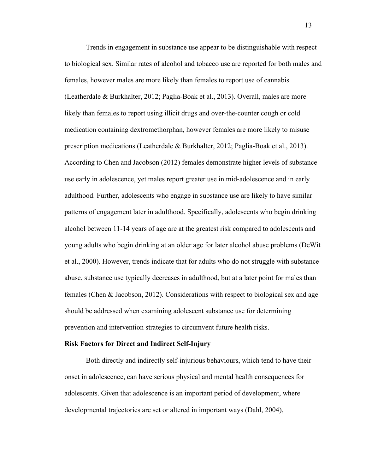Trends in engagement in substance use appear to be distinguishable with respect to biological sex. Similar rates of alcohol and tobacco use are reported for both males and females, however males are more likely than females to report use of cannabis (Leatherdale & Burkhalter, 2012; Paglia-Boak et al., 2013). Overall, males are more likely than females to report using illicit drugs and over-the-counter cough or cold medication containing dextromethorphan, however females are more likely to misuse prescription medications (Leatherdale & Burkhalter, 2012; Paglia-Boak et al., 2013). According to Chen and Jacobson (2012) females demonstrate higher levels of substance use early in adolescence, yet males report greater use in mid-adolescence and in early adulthood. Further, adolescents who engage in substance use are likely to have similar patterns of engagement later in adulthood. Specifically, adolescents who begin drinking alcohol between 11-14 years of age are at the greatest risk compared to adolescents and young adults who begin drinking at an older age for later alcohol abuse problems (DeWit et al., 2000). However, trends indicate that for adults who do not struggle with substance abuse, substance use typically decreases in adulthood, but at a later point for males than females (Chen & Jacobson, 2012). Considerations with respect to biological sex and age should be addressed when examining adolescent substance use for determining prevention and intervention strategies to circumvent future health risks.

#### **Risk Factors for Direct and Indirect Self-Injury**

Both directly and indirectly self-injurious behaviours, which tend to have their onset in adolescence, can have serious physical and mental health consequences for adolescents. Given that adolescence is an important period of development, where developmental trajectories are set or altered in important ways (Dahl, 2004),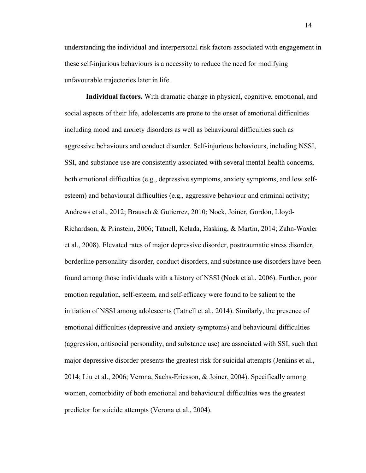understanding the individual and interpersonal risk factors associated with engagement in these self-injurious behaviours is a necessity to reduce the need for modifying unfavourable trajectories later in life.

**Individual factors.** With dramatic change in physical, cognitive, emotional, and social aspects of their life, adolescents are prone to the onset of emotional difficulties including mood and anxiety disorders as well as behavioural difficulties such as aggressive behaviours and conduct disorder. Self-injurious behaviours, including NSSI, SSI, and substance use are consistently associated with several mental health concerns, both emotional difficulties (e.g., depressive symptoms, anxiety symptoms, and low selfesteem) and behavioural difficulties (e.g., aggressive behaviour and criminal activity; Andrews et al., 2012; Brausch & Gutierrez, 2010; Nock, Joiner, Gordon, Lloyd-Richardson, & Prinstein, 2006; Tatnell, Kelada, Hasking, & Martin, 2014; Zahn-Waxler et al., 2008). Elevated rates of major depressive disorder, posttraumatic stress disorder, borderline personality disorder, conduct disorders, and substance use disorders have been found among those individuals with a history of NSSI (Nock et al., 2006). Further, poor emotion regulation, self-esteem, and self-efficacy were found to be salient to the initiation of NSSI among adolescents (Tatnell et al., 2014). Similarly, the presence of emotional difficulties (depressive and anxiety symptoms) and behavioural difficulties (aggression, antisocial personality, and substance use) are associated with SSI, such that major depressive disorder presents the greatest risk for suicidal attempts (Jenkins et al., 2014; Liu et al., 2006; Verona, Sachs-Ericsson, & Joiner, 2004). Specifically among women, comorbidity of both emotional and behavioural difficulties was the greatest predictor for suicide attempts (Verona et al., 2004).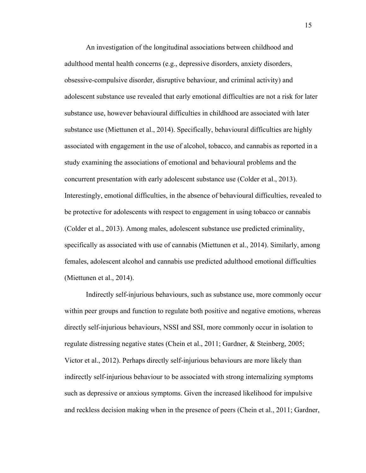An investigation of the longitudinal associations between childhood and adulthood mental health concerns (e.g., depressive disorders, anxiety disorders, obsessive-compulsive disorder, disruptive behaviour, and criminal activity) and adolescent substance use revealed that early emotional difficulties are not a risk for later substance use, however behavioural difficulties in childhood are associated with later substance use (Miettunen et al., 2014). Specifically, behavioural difficulties are highly associated with engagement in the use of alcohol, tobacco, and cannabis as reported in a study examining the associations of emotional and behavioural problems and the concurrent presentation with early adolescent substance use (Colder et al., 2013). Interestingly, emotional difficulties, in the absence of behavioural difficulties, revealed to be protective for adolescents with respect to engagement in using tobacco or cannabis (Colder et al., 2013). Among males, adolescent substance use predicted criminality, specifically as associated with use of cannabis (Miettunen et al., 2014). Similarly, among females, adolescent alcohol and cannabis use predicted adulthood emotional difficulties (Miettunen et al., 2014).

Indirectly self-injurious behaviours, such as substance use, more commonly occur within peer groups and function to regulate both positive and negative emotions, whereas directly self-injurious behaviours, NSSI and SSI, more commonly occur in isolation to regulate distressing negative states (Chein et al., 2011; Gardner, & Steinberg, 2005; Victor et al., 2012). Perhaps directly self-injurious behaviours are more likely than indirectly self-injurious behaviour to be associated with strong internalizing symptoms such as depressive or anxious symptoms. Given the increased likelihood for impulsive and reckless decision making when in the presence of peers (Chein et al., 2011; Gardner,

15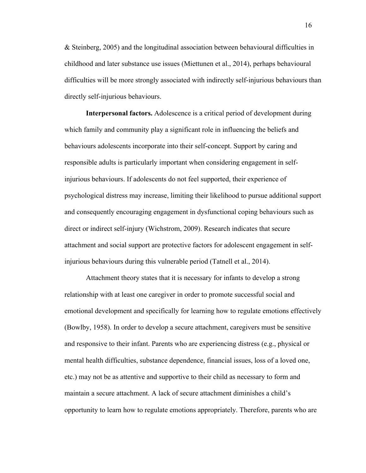& Steinberg, 2005) and the longitudinal association between behavioural difficulties in childhood and later substance use issues (Miettunen et al., 2014), perhaps behavioural difficulties will be more strongly associated with indirectly self-injurious behaviours than directly self-injurious behaviours.

**Interpersonal factors.** Adolescence is a critical period of development during which family and community play a significant role in influencing the beliefs and behaviours adolescents incorporate into their self-concept. Support by caring and responsible adults is particularly important when considering engagement in selfinjurious behaviours. If adolescents do not feel supported, their experience of psychological distress may increase, limiting their likelihood to pursue additional support and consequently encouraging engagement in dysfunctional coping behaviours such as direct or indirect self-injury (Wichstrom, 2009). Research indicates that secure attachment and social support are protective factors for adolescent engagement in selfinjurious behaviours during this vulnerable period (Tatnell et al., 2014).

Attachment theory states that it is necessary for infants to develop a strong relationship with at least one caregiver in order to promote successful social and emotional development and specifically for learning how to regulate emotions effectively (Bowlby, 1958). In order to develop a secure attachment, caregivers must be sensitive and responsive to their infant. Parents who are experiencing distress (e.g., physical or mental health difficulties, substance dependence, financial issues, loss of a loved one, etc.) may not be as attentive and supportive to their child as necessary to form and maintain a secure attachment. A lack of secure attachment diminishes a child's opportunity to learn how to regulate emotions appropriately. Therefore, parents who are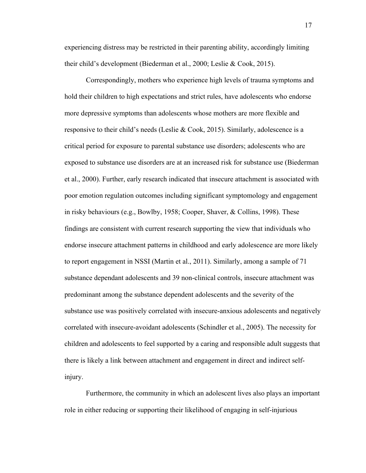experiencing distress may be restricted in their parenting ability, accordingly limiting their child's development (Biederman et al., 2000; Leslie & Cook, 2015).

Correspondingly, mothers who experience high levels of trauma symptoms and hold their children to high expectations and strict rules, have adolescents who endorse more depressive symptoms than adolescents whose mothers are more flexible and responsive to their child's needs (Leslie & Cook, 2015). Similarly, adolescence is a critical period for exposure to parental substance use disorders; adolescents who are exposed to substance use disorders are at an increased risk for substance use (Biederman et al., 2000). Further, early research indicated that insecure attachment is associated with poor emotion regulation outcomes including significant symptomology and engagement in risky behaviours (e.g., Bowlby, 1958; Cooper, Shaver, & Collins, 1998). These findings are consistent with current research supporting the view that individuals who endorse insecure attachment patterns in childhood and early adolescence are more likely to report engagement in NSSI (Martin et al., 2011). Similarly, among a sample of 71 substance dependant adolescents and 39 non-clinical controls, insecure attachment was predominant among the substance dependent adolescents and the severity of the substance use was positively correlated with insecure-anxious adolescents and negatively correlated with insecure-avoidant adolescents (Schindler et al., 2005). The necessity for children and adolescents to feel supported by a caring and responsible adult suggests that there is likely a link between attachment and engagement in direct and indirect selfinjury.

Furthermore, the community in which an adolescent lives also plays an important role in either reducing or supporting their likelihood of engaging in self-injurious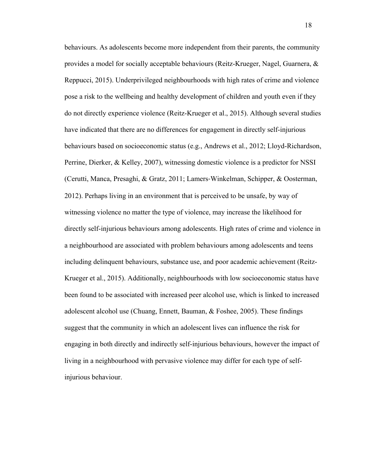behaviours. As adolescents become more independent from their parents, the community provides a model for socially acceptable behaviours (Reitz-Krueger, Nagel, Guarnera, & Reppucci, 2015). Underprivileged neighbourhoods with high rates of crime and violence pose a risk to the wellbeing and healthy development of children and youth even if they do not directly experience violence (Reitz-Krueger et al., 2015). Although several studies have indicated that there are no differences for engagement in directly self-injurious behaviours based on socioeconomic status (e.g., Andrews et al., 2012; Lloyd-Richardson, Perrine, Dierker, & Kelley, 2007), witnessing domestic violence is a predictor for NSSI (Cerutti, Manca, Presaghi, & Gratz, 2011; Lamers-Winkelman, Schipper, & Oosterman, 2012). Perhaps living in an environment that is perceived to be unsafe, by way of witnessing violence no matter the type of violence, may increase the likelihood for directly self-injurious behaviours among adolescents. High rates of crime and violence in a neighbourhood are associated with problem behaviours among adolescents and teens including delinquent behaviours, substance use, and poor academic achievement (Reitz-Krueger et al., 2015). Additionally, neighbourhoods with low socioeconomic status have been found to be associated with increased peer alcohol use, which is linked to increased adolescent alcohol use (Chuang, Ennett, Bauman, & Foshee, 2005). These findings suggest that the community in which an adolescent lives can influence the risk for engaging in both directly and indirectly self-injurious behaviours, however the impact of living in a neighbourhood with pervasive violence may differ for each type of selfinjurious behaviour.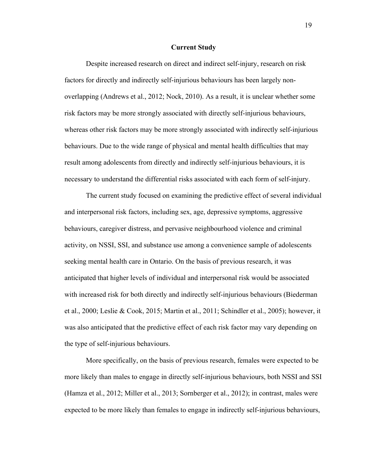#### **Current Study**

Despite increased research on direct and indirect self-injury, research on risk factors for directly and indirectly self-injurious behaviours has been largely nonoverlapping (Andrews et al., 2012; Nock, 2010). As a result, it is unclear whether some risk factors may be more strongly associated with directly self-injurious behaviours, whereas other risk factors may be more strongly associated with indirectly self-injurious behaviours. Due to the wide range of physical and mental health difficulties that may result among adolescents from directly and indirectly self-injurious behaviours, it is necessary to understand the differential risks associated with each form of self-injury.

The current study focused on examining the predictive effect of several individual and interpersonal risk factors, including sex, age, depressive symptoms, aggressive behaviours, caregiver distress, and pervasive neighbourhood violence and criminal activity, on NSSI, SSI, and substance use among a convenience sample of adolescents seeking mental health care in Ontario. On the basis of previous research, it was anticipated that higher levels of individual and interpersonal risk would be associated with increased risk for both directly and indirectly self-injurious behaviours (Biederman et al., 2000; Leslie & Cook, 2015; Martin et al., 2011; Schindler et al., 2005); however, it was also anticipated that the predictive effect of each risk factor may vary depending on the type of self-injurious behaviours.

More specifically, on the basis of previous research, females were expected to be more likely than males to engage in directly self-injurious behaviours, both NSSI and SSI (Hamza et al., 2012; Miller et al., 2013; Sornberger et al., 2012); in contrast, males were expected to be more likely than females to engage in indirectly self-injurious behaviours,

19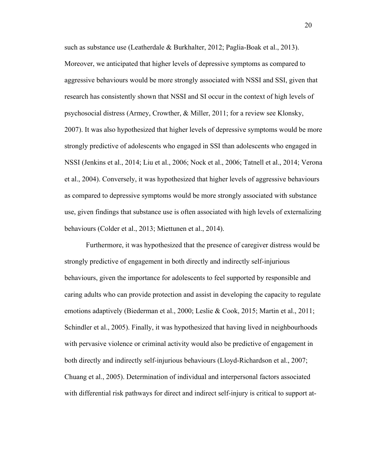such as substance use (Leatherdale & Burkhalter, 2012; Paglia-Boak et al., 2013). Moreover, we anticipated that higher levels of depressive symptoms as compared to aggressive behaviours would be more strongly associated with NSSI and SSI, given that research has consistently shown that NSSI and SI occur in the context of high levels of psychosocial distress (Armey, Crowther, & Miller, 2011; for a review see Klonsky, 2007). It was also hypothesized that higher levels of depressive symptoms would be more strongly predictive of adolescents who engaged in SSI than adolescents who engaged in NSSI (Jenkins et al., 2014; Liu et al., 2006; Nock et al., 2006; Tatnell et al., 2014; Verona et al., 2004). Conversely, it was hypothesized that higher levels of aggressive behaviours as compared to depressive symptoms would be more strongly associated with substance use, given findings that substance use is often associated with high levels of externalizing behaviours (Colder et al., 2013; Miettunen et al., 2014).

Furthermore, it was hypothesized that the presence of caregiver distress would be strongly predictive of engagement in both directly and indirectly self-injurious behaviours, given the importance for adolescents to feel supported by responsible and caring adults who can provide protection and assist in developing the capacity to regulate emotions adaptively (Biederman et al., 2000; Leslie & Cook, 2015; Martin et al., 2011; Schindler et al., 2005). Finally, it was hypothesized that having lived in neighbourhoods with pervasive violence or criminal activity would also be predictive of engagement in both directly and indirectly self-injurious behaviours (Lloyd-Richardson et al., 2007; Chuang et al., 2005). Determination of individual and interpersonal factors associated with differential risk pathways for direct and indirect self-injury is critical to support at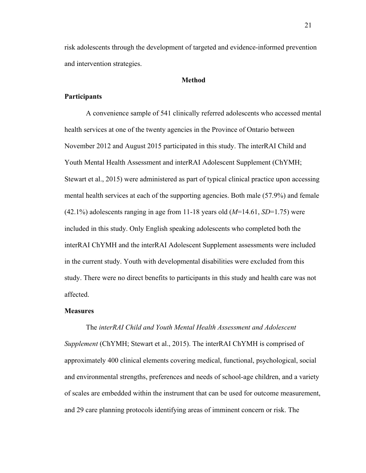risk adolescents through the development of targeted and evidence-informed prevention and intervention strategies.

#### **Method**

#### **Participants**

A convenience sample of 541 clinically referred adolescents who accessed mental health services at one of the twenty agencies in the Province of Ontario between November 2012 and August 2015 participated in this study. The interRAI Child and Youth Mental Health Assessment and interRAI Adolescent Supplement (ChYMH; Stewart et al., 2015) were administered as part of typical clinical practice upon accessing mental health services at each of the supporting agencies. Both male (57.9%) and female (42.1%) adolescents ranging in age from 11-18 years old (*M*=14.61, *SD*=1.75) were included in this study. Only English speaking adolescents who completed both the interRAI ChYMH and the interRAI Adolescent Supplement assessments were included in the current study. Youth with developmental disabilities were excluded from this study. There were no direct benefits to participants in this study and health care was not affected.

#### **Measures**

#### The *interRAI Child and Youth Mental Health Assessment and Adolescent*

*Supplement* (ChYMH; Stewart et al., 2015). The interRAI ChYMH is comprised of approximately 400 clinical elements covering medical, functional, psychological, social and environmental strengths, preferences and needs of school-age children, and a variety of scales are embedded within the instrument that can be used for outcome measurement, and 29 care planning protocols identifying areas of imminent concern or risk. The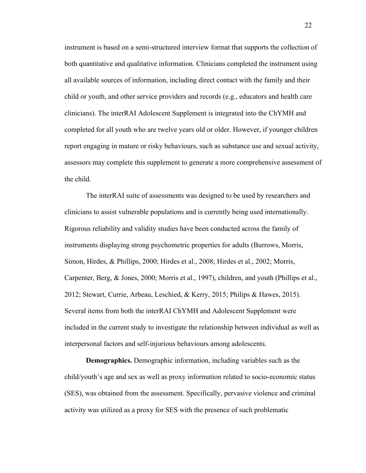instrument is based on a semi-structured interview format that supports the collection of both quantitative and qualitative information. Clinicians completed the instrument using all available sources of information, including direct contact with the family and their child or youth, and other service providers and records (e.g., educators and health care clinicians). The interRAI Adolescent Supplement is integrated into the ChYMH and completed for all youth who are twelve years old or older. However, if younger children report engaging in mature or risky behaviours, such as substance use and sexual activity, assessors may complete this supplement to generate a more comprehensive assessment of the child.

The interRAI suite of assessments was designed to be used by researchers and clinicians to assist vulnerable populations and is currently being used internationally. Rigorous reliability and validity studies have been conducted across the family of instruments displaying strong psychometric properties for adults (Burrows, Morris, Simon, Hirdes, & Phillips, 2000; Hirdes et al., 2008; Hirdes et al., 2002; Morris, Carpenter, Berg, & Jones, 2000; Morris et al., 1997), children, and youth (Phillips et al., 2012; Stewart, Currie, Arbeau, Leschied, & Kerry, 2015; Philips & Hawes, 2015). Several items from both the interRAI ChYMH and Adolescent Supplement were included in the current study to investigate the relationship between individual as well as interpersonal factors and self-injurious behaviours among adolescents.

**Demographics.** Demographic information, including variables such as the child/youth's age and sex as well as proxy information related to socio-economic status (SES), was obtained from the assessment. Specifically, pervasive violence and criminal activity was utilized as a proxy for SES with the presence of such problematic

22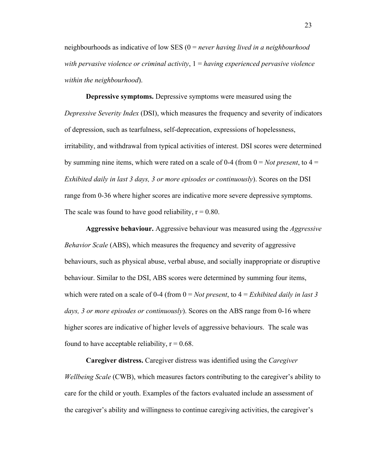neighbourhoods as indicative of low SES (0 = *never having lived in a neighbourhood with pervasive violence or criminal activity*, 1 = *having experienced pervasive violence within the neighbourhood*).

**Depressive symptoms.** Depressive symptoms were measured using the *Depressive Severity Index* (DSI), which measures the frequency and severity of indicators of depression, such as tearfulness, self-deprecation, expressions of hopelessness, irritability, and withdrawal from typical activities of interest. DSI scores were determined by summing nine items, which were rated on a scale of 0-4 (from  $0 = Not present$ , to  $4 =$ *Exhibited daily in last 3 days, 3 or more episodes or continuously*). Scores on the DSI range from 0-36 where higher scores are indicative more severe depressive symptoms. The scale was found to have good reliability,  $r = 0.80$ .

**Aggressive behaviour.** Aggressive behaviour was measured using the *Aggressive Behavior Scale* (ABS), which measures the frequency and severity of aggressive behaviours, such as physical abuse, verbal abuse, and socially inappropriate or disruptive behaviour. Similar to the DSI, ABS scores were determined by summing four items, which were rated on a scale of 0-4 (from  $0 = Not present$ , to  $4 = Exhibiti>Exhibited$  daily in last 3) *days, 3 or more episodes or continuously*). Scores on the ABS range from 0-16 where higher scores are indicative of higher levels of aggressive behaviours. The scale was found to have acceptable reliability,  $r = 0.68$ .

**Caregiver distress.** Caregiver distress was identified using the *Caregiver Wellbeing Scale* (CWB), which measures factors contributing to the caregiver's ability to care for the child or youth. Examples of the factors evaluated include an assessment of the caregiver's ability and willingness to continue caregiving activities, the caregiver's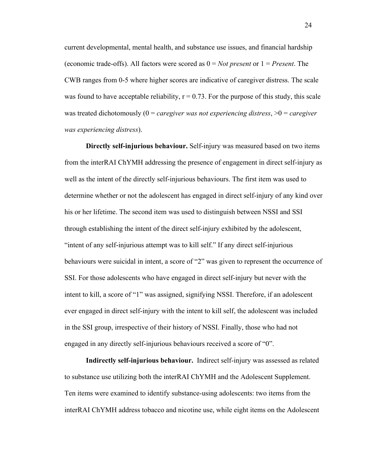current developmental, mental health, and substance use issues, and financial hardship (economic trade-offs). All factors were scored as  $0 = Not present$  or  $1 = Present$ . The CWB ranges from 0-5 where higher scores are indicative of caregiver distress. The scale was found to have acceptable reliability,  $r = 0.73$ . For the purpose of this study, this scale was treated dichotomously (0 = *caregiver was not experiencing distress*, >0 = *caregiver was experiencing distress*).

**Directly self-injurious behaviour.** Self-injury was measured based on two items from the interRAI ChYMH addressing the presence of engagement in direct self-injury as well as the intent of the directly self-injurious behaviours. The first item was used to determine whether or not the adolescent has engaged in direct self-injury of any kind over his or her lifetime. The second item was used to distinguish between NSSI and SSI through establishing the intent of the direct self-injury exhibited by the adolescent, "intent of any self-injurious attempt was to kill self." If any direct self-injurious behaviours were suicidal in intent, a score of "2" was given to represent the occurrence of SSI. For those adolescents who have engaged in direct self-injury but never with the intent to kill, a score of "1" was assigned, signifying NSSI. Therefore, if an adolescent ever engaged in direct self-injury with the intent to kill self, the adolescent was included in the SSI group, irrespective of their history of NSSI. Finally, those who had not engaged in any directly self-injurious behaviours received a score of "0".

**Indirectly self-injurious behaviour.** Indirect self-injury was assessed as related to substance use utilizing both the interRAI ChYMH and the Adolescent Supplement. Ten items were examined to identify substance-using adolescents: two items from the interRAI ChYMH address tobacco and nicotine use, while eight items on the Adolescent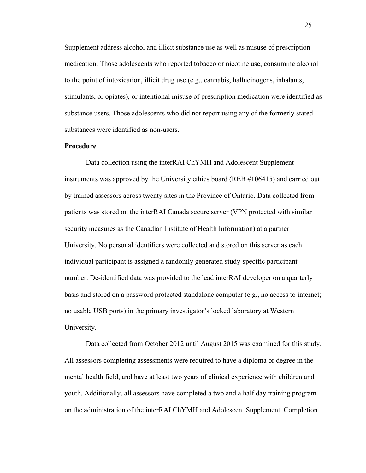Supplement address alcohol and illicit substance use as well as misuse of prescription medication. Those adolescents who reported tobacco or nicotine use, consuming alcohol to the point of intoxication, illicit drug use (e.g., cannabis, hallucinogens, inhalants, stimulants, or opiates), or intentional misuse of prescription medication were identified as substance users. Those adolescents who did not report using any of the formerly stated substances were identified as non-users.

#### **Procedure**

Data collection using the interRAI ChYMH and Adolescent Supplement instruments was approved by the University ethics board (REB #106415) and carried out by trained assessors across twenty sites in the Province of Ontario. Data collected from patients was stored on the interRAI Canada secure server (VPN protected with similar security measures as the Canadian Institute of Health Information) at a partner University. No personal identifiers were collected and stored on this server as each individual participant is assigned a randomly generated study-specific participant number. De-identified data was provided to the lead interRAI developer on a quarterly basis and stored on a password protected standalone computer (e.g., no access to internet; no usable USB ports) in the primary investigator's locked laboratory at Western University.

Data collected from October 2012 until August 2015 was examined for this study. All assessors completing assessments were required to have a diploma or degree in the mental health field, and have at least two years of clinical experience with children and youth. Additionally, all assessors have completed a two and a half day training program on the administration of the interRAI ChYMH and Adolescent Supplement. Completion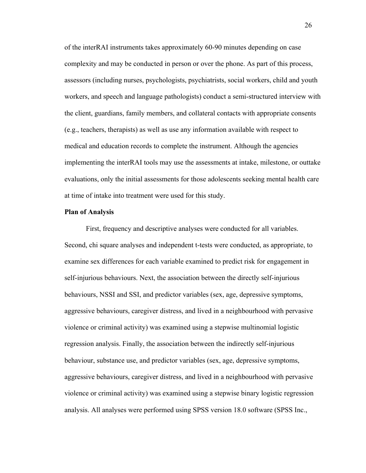of the interRAI instruments takes approximately 60-90 minutes depending on case complexity and may be conducted in person or over the phone. As part of this process, assessors (including nurses, psychologists, psychiatrists, social workers, child and youth workers, and speech and language pathologists) conduct a semi-structured interview with the client, guardians, family members, and collateral contacts with appropriate consents (e.g., teachers, therapists) as well as use any information available with respect to medical and education records to complete the instrument. Although the agencies implementing the interRAI tools may use the assessments at intake, milestone, or outtake evaluations, only the initial assessments for those adolescents seeking mental health care at time of intake into treatment were used for this study.

#### **Plan of Analysis**

First, frequency and descriptive analyses were conducted for all variables. Second, chi square analyses and independent t-tests were conducted, as appropriate, to examine sex differences for each variable examined to predict risk for engagement in self-injurious behaviours. Next, the association between the directly self-injurious behaviours, NSSI and SSI, and predictor variables (sex, age, depressive symptoms, aggressive behaviours, caregiver distress, and lived in a neighbourhood with pervasive violence or criminal activity) was examined using a stepwise multinomial logistic regression analysis. Finally, the association between the indirectly self-injurious behaviour, substance use, and predictor variables (sex, age, depressive symptoms, aggressive behaviours, caregiver distress, and lived in a neighbourhood with pervasive violence or criminal activity) was examined using a stepwise binary logistic regression analysis. All analyses were performed using SPSS version 18.0 software (SPSS Inc.,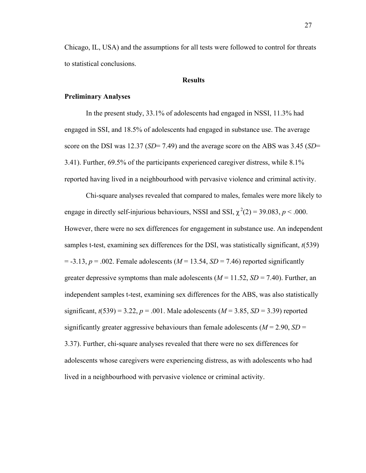Chicago, IL, USA) and the assumptions for all tests were followed to control for threats to statistical conclusions.

#### **Results**

#### **Preliminary Analyses**

In the present study, 33.1% of adolescents had engaged in NSSI, 11.3% had engaged in SSI, and 18.5% of adolescents had engaged in substance use. The average score on the DSI was 12.37 (*SD*= 7.49) and the average score on the ABS was 3.45 (*SD*= 3.41). Further, 69.5% of the participants experienced caregiver distress, while 8.1% reported having lived in a neighbourhood with pervasive violence and criminal activity.

Chi-square analyses revealed that compared to males, females were more likely to engage in directly self-injurious behaviours, NSSI and SSI,  $\chi^2(2) = 39.083$ ,  $p < .000$ . However, there were no sex differences for engagement in substance use. An independent samples t-test, examining sex differences for the DSI, was statistically significant, *t*(539)  $=$  -3.13,  $p = .002$ . Female adolescents ( $M = 13.54$ ,  $SD = 7.46$ ) reported significantly greater depressive symptoms than male adolescents  $(M = 11.52, SD = 7.40)$ . Further, an independent samples t-test, examining sex differences for the ABS, was also statistically significant,  $t(539) = 3.22$ ,  $p = .001$ . Male adolescents ( $M = 3.85$ ,  $SD = 3.39$ ) reported significantly greater aggressive behaviours than female adolescents ( $M = 2.90$ ,  $SD =$ 3.37). Further, chi-square analyses revealed that there were no sex differences for adolescents whose caregivers were experiencing distress, as with adolescents who had lived in a neighbourhood with pervasive violence or criminal activity.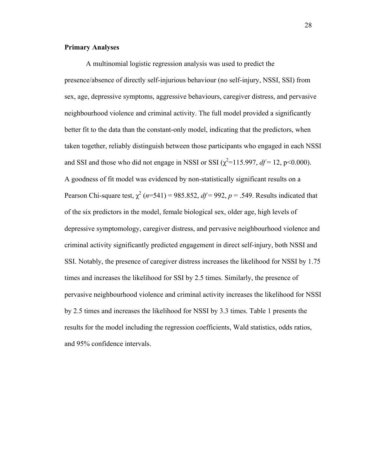#### **Primary Analyses**

A multinomial logistic regression analysis was used to predict the presence/absence of directly self-injurious behaviour (no self-injury, NSSI, SSI) from sex, age, depressive symptoms, aggressive behaviours, caregiver distress, and pervasive neighbourhood violence and criminal activity. The full model provided a significantly better fit to the data than the constant-only model, indicating that the predictors, when taken together, reliably distinguish between those participants who engaged in each NSSI and SSI and those who did not engage in NSSI or SSI  $(\chi^2 = 115.997, df = 12, p < 0.000)$ . A goodness of fit model was evidenced by non-statistically significant results on a Pearson Chi-square test,  $\chi^2$  ( $n=541$ ) = 985.852,  $df = 992$ ,  $p = .549$ . Results indicated that of the six predictors in the model, female biological sex, older age, high levels of depressive symptomology, caregiver distress, and pervasive neighbourhood violence and criminal activity significantly predicted engagement in direct self-injury, both NSSI and SSI. Notably, the presence of caregiver distress increases the likelihood for NSSI by 1.75 times and increases the likelihood for SSI by 2.5 times. Similarly, the presence of pervasive neighbourhood violence and criminal activity increases the likelihood for NSSI by 2.5 times and increases the likelihood for NSSI by 3.3 times. Table 1 presents the results for the model including the regression coefficients, Wald statistics, odds ratios, and 95% confidence intervals.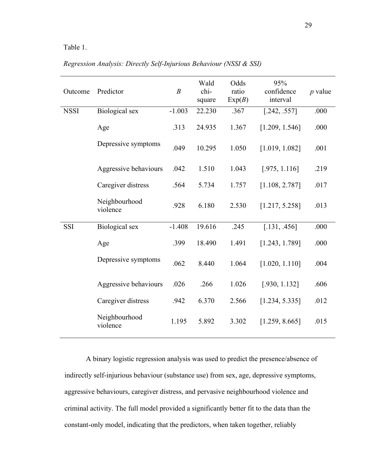#### Table 1.

| Outcome     | Predictor                 | $\boldsymbol{B}$ | Wald<br>chi-<br>square | Odds<br>ratio<br>Exp(B) | 95%<br>confidence<br>interval             | $p$ value |
|-------------|---------------------------|------------------|------------------------|-------------------------|-------------------------------------------|-----------|
| <b>NSSI</b> | <b>Biological</b> sex     | $-1.003$         | 22.230                 | .367                    | [.242, .557]                              | .000      |
|             | Age                       | .313             | 24.935                 | 1.367                   | [1.209, 1.546]                            | .000      |
|             | Depressive symptoms       | .049             | 10.295                 | 1.050                   | [1.019, 1.082]                            | .001      |
|             | Aggressive behaviours     | .042             | 1.510                  | 1.043                   | [.975, 1.116]                             | .219      |
|             | Caregiver distress        | .564             | 5.734                  | 1.757                   | [1.108, 2.787]                            | .017      |
|             | Neighbourhood<br>violence | .928             | 6.180                  | 2.530                   | [1.217, 5.258]                            | .013      |
| <b>SSI</b>  | <b>Biological</b> sex     | $-1.408$         | 19.616                 | .245                    | [.131, .456]                              | .000      |
|             | Age                       | .399             | 18.490                 | 1.491                   | [1.243, 1.789]                            | .000      |
|             | Depressive symptoms       | .062             | 8.440                  | 1.064                   | [1.020, 1.110]                            | .004      |
|             | Aggressive behaviours     | .026             | .266                   | 1.026                   | [.930, 1.132]                             | .606      |
|             | Caregiver distress        | .942             | 6.370                  | 2.566                   | [1.234, 5.335]                            | .012      |
|             | Neighbourhood             | 1.10F            | $\epsilon$ 000         | n non                   | $\begin{bmatrix} 1 & 2 & 0 \end{bmatrix}$ | 01F       |

*Regression Analysis: Directly Self-Injurious Behaviour (NSSI & SSI)*

A binary logistic regression analysis was used to predict the presence/absence of indirectly self-injurious behaviour (substance use) from sex, age, depressive symptoms, aggressive behaviours, caregiver distress, and pervasive neighbourhood violence and criminal activity. The full model provided a significantly better fit to the data than the constant-only model, indicating that the predictors, when taken together, reliably

violence 1.195 5.892 3.302 [1.259, 8.665] .015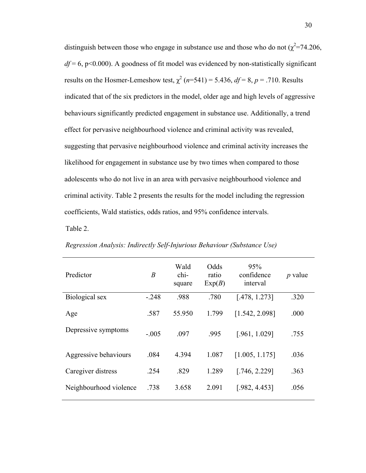distinguish between those who engage in substance use and those who do not  $(\chi^2=74.206,$  $df = 6$ , p<0.000). A goodness of fit model was evidenced by non-statistically significant results on the Hosmer-Lemeshow test,  $\chi^2$  (*n*=541) = 5.436, *df* = 8, *p* = .710. Results indicated that of the six predictors in the model, older age and high levels of aggressive behaviours significantly predicted engagement in substance use. Additionally, a trend effect for pervasive neighbourhood violence and criminal activity was revealed, suggesting that pervasive neighbourhood violence and criminal activity increases the likelihood for engagement in substance use by two times when compared to those adolescents who do not live in an area with pervasive neighbourhood violence and criminal activity. Table 2 presents the results for the model including the regression coefficients, Wald statistics, odds ratios, and 95% confidence intervals.

Table 2.

| Predictor              | $\boldsymbol{B}$ | Wald<br>chi-<br>square | Odds<br>ratio<br>Exp(B) | 95%<br>confidence<br>interval | <i>p</i> value |
|------------------------|------------------|------------------------|-------------------------|-------------------------------|----------------|
| Biological sex         | $-.248$          | .988                   | .780                    | [.478, 1.273]                 | .320           |
| Age                    | .587             | 55.950                 | 1.799                   | [1.542, 2.098]                | .000           |
| Depressive symptoms    | $-.005$          | .097                   | .995                    | [.961, 1.029]                 | .755           |
| Aggressive behaviours  | .084             | 4.394                  | 1.087                   | [1.005, 1.175]                | .036           |
| Caregiver distress     | .254             | .829                   | 1.289                   | [.746, 2.229]                 | .363           |
| Neighbourhood violence | .738             | 3.658                  | 2.091                   | [.982, 4.453]                 | .056           |
|                        |                  |                        |                         |                               |                |

*Regression Analysis: Indirectly Self-Injurious Behaviour (Substance Use)*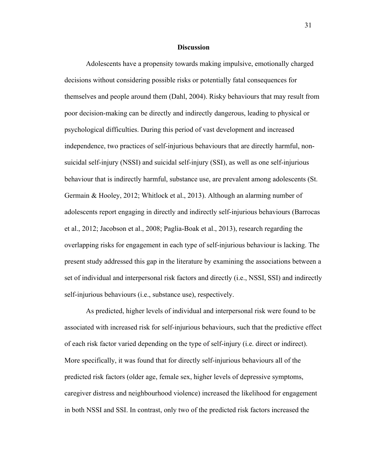#### **Discussion**

Adolescents have a propensity towards making impulsive, emotionally charged decisions without considering possible risks or potentially fatal consequences for themselves and people around them (Dahl, 2004). Risky behaviours that may result from poor decision-making can be directly and indirectly dangerous, leading to physical or psychological difficulties. During this period of vast development and increased independence, two practices of self-injurious behaviours that are directly harmful, nonsuicidal self-injury (NSSI) and suicidal self-injury (SSI), as well as one self-injurious behaviour that is indirectly harmful, substance use, are prevalent among adolescents (St. Germain & Hooley, 2012; Whitlock et al., 2013). Although an alarming number of adolescents report engaging in directly and indirectly self-injurious behaviours (Barrocas et al., 2012; Jacobson et al., 2008; Paglia-Boak et al., 2013), research regarding the overlapping risks for engagement in each type of self-injurious behaviour is lacking. The present study addressed this gap in the literature by examining the associations between a set of individual and interpersonal risk factors and directly (i.e., NSSI, SSI) and indirectly self-injurious behaviours (i.e., substance use), respectively.

As predicted, higher levels of individual and interpersonal risk were found to be associated with increased risk for self-injurious behaviours, such that the predictive effect of each risk factor varied depending on the type of self-injury (i.e. direct or indirect). More specifically, it was found that for directly self-injurious behaviours all of the predicted risk factors (older age, female sex, higher levels of depressive symptoms, caregiver distress and neighbourhood violence) increased the likelihood for engagement in both NSSI and SSI. In contrast, only two of the predicted risk factors increased the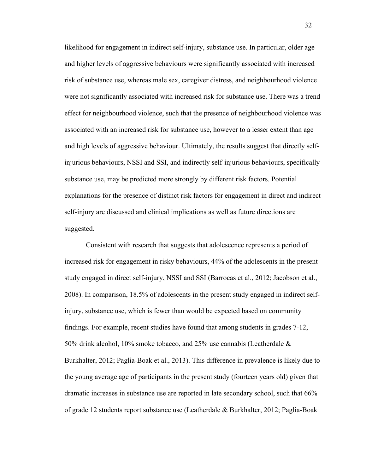likelihood for engagement in indirect self-injury, substance use. In particular, older age and higher levels of aggressive behaviours were significantly associated with increased risk of substance use, whereas male sex, caregiver distress, and neighbourhood violence were not significantly associated with increased risk for substance use. There was a trend effect for neighbourhood violence, such that the presence of neighbourhood violence was associated with an increased risk for substance use, however to a lesser extent than age and high levels of aggressive behaviour. Ultimately, the results suggest that directly selfinjurious behaviours, NSSI and SSI, and indirectly self-injurious behaviours, specifically substance use, may be predicted more strongly by different risk factors. Potential explanations for the presence of distinct risk factors for engagement in direct and indirect self-injury are discussed and clinical implications as well as future directions are suggested.

Consistent with research that suggests that adolescence represents a period of increased risk for engagement in risky behaviours, 44% of the adolescents in the present study engaged in direct self-injury, NSSI and SSI (Barrocas et al., 2012; Jacobson et al., 2008). In comparison, 18.5% of adolescents in the present study engaged in indirect selfinjury, substance use, which is fewer than would be expected based on community findings. For example, recent studies have found that among students in grades 7-12, 50% drink alcohol, 10% smoke tobacco, and 25% use cannabis (Leatherdale & Burkhalter, 2012; Paglia-Boak et al., 2013). This difference in prevalence is likely due to the young average age of participants in the present study (fourteen years old) given that dramatic increases in substance use are reported in late secondary school, such that 66% of grade 12 students report substance use (Leatherdale & Burkhalter, 2012; Paglia-Boak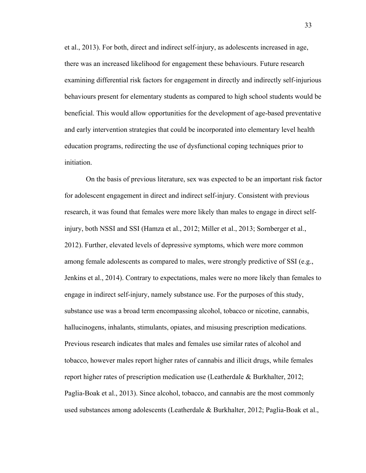et al., 2013). For both, direct and indirect self-injury, as adolescents increased in age, there was an increased likelihood for engagement these behaviours. Future research examining differential risk factors for engagement in directly and indirectly self-injurious behaviours present for elementary students as compared to high school students would be beneficial. This would allow opportunities for the development of age-based preventative and early intervention strategies that could be incorporated into elementary level health education programs, redirecting the use of dysfunctional coping techniques prior to initiation.

On the basis of previous literature, sex was expected to be an important risk factor for adolescent engagement in direct and indirect self-injury. Consistent with previous research, it was found that females were more likely than males to engage in direct selfinjury, both NSSI and SSI (Hamza et al., 2012; Miller et al., 2013; Sornberger et al., 2012). Further, elevated levels of depressive symptoms, which were more common among female adolescents as compared to males, were strongly predictive of SSI (e.g., Jenkins et al., 2014). Contrary to expectations, males were no more likely than females to engage in indirect self-injury, namely substance use. For the purposes of this study, substance use was a broad term encompassing alcohol, tobacco or nicotine, cannabis, hallucinogens, inhalants, stimulants, opiates, and misusing prescription medications. Previous research indicates that males and females use similar rates of alcohol and tobacco, however males report higher rates of cannabis and illicit drugs, while females report higher rates of prescription medication use (Leatherdale & Burkhalter, 2012; Paglia-Boak et al., 2013). Since alcohol, tobacco, and cannabis are the most commonly used substances among adolescents (Leatherdale & Burkhalter, 2012; Paglia-Boak et al.,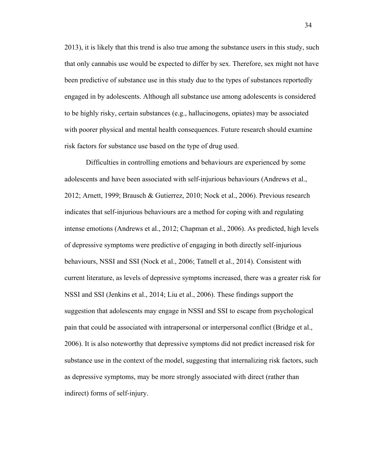2013), it is likely that this trend is also true among the substance users in this study, such that only cannabis use would be expected to differ by sex. Therefore, sex might not have been predictive of substance use in this study due to the types of substances reportedly engaged in by adolescents. Although all substance use among adolescents is considered to be highly risky, certain substances (e.g., hallucinogens, opiates) may be associated with poorer physical and mental health consequences. Future research should examine risk factors for substance use based on the type of drug used.

Difficulties in controlling emotions and behaviours are experienced by some adolescents and have been associated with self-injurious behaviours (Andrews et al., 2012; Arnett, 1999; Brausch & Gutierrez, 2010; Nock et al., 2006). Previous research indicates that self-injurious behaviours are a method for coping with and regulating intense emotions (Andrews et al., 2012; Chapman et al., 2006). As predicted, high levels of depressive symptoms were predictive of engaging in both directly self-injurious behaviours, NSSI and SSI (Nock et al., 2006; Tatnell et al., 2014). Consistent with current literature, as levels of depressive symptoms increased, there was a greater risk for NSSI and SSI (Jenkins et al., 2014; Liu et al., 2006). These findings support the suggestion that adolescents may engage in NSSI and SSI to escape from psychological pain that could be associated with intrapersonal or interpersonal conflict (Bridge et al., 2006). It is also noteworthy that depressive symptoms did not predict increased risk for substance use in the context of the model, suggesting that internalizing risk factors, such as depressive symptoms, may be more strongly associated with direct (rather than indirect) forms of self-injury.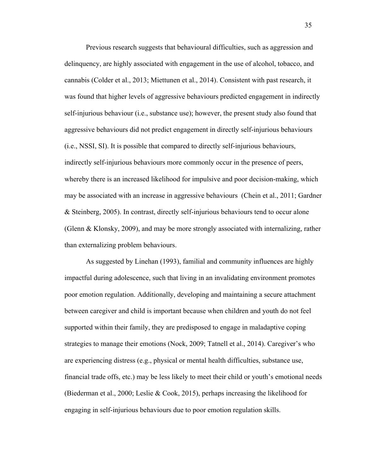Previous research suggests that behavioural difficulties, such as aggression and delinquency, are highly associated with engagement in the use of alcohol, tobacco, and cannabis (Colder et al., 2013; Miettunen et al., 2014). Consistent with past research, it was found that higher levels of aggressive behaviours predicted engagement in indirectly self-injurious behaviour (i.e., substance use); however, the present study also found that aggressive behaviours did not predict engagement in directly self-injurious behaviours (i.e., NSSI, SI). It is possible that compared to directly self-injurious behaviours, indirectly self-injurious behaviours more commonly occur in the presence of peers, whereby there is an increased likelihood for impulsive and poor decision-making, which may be associated with an increase in aggressive behaviours (Chein et al., 2011; Gardner & Steinberg, 2005). In contrast, directly self-injurious behaviours tend to occur alone (Glenn & Klonsky, 2009), and may be more strongly associated with internalizing, rather than externalizing problem behaviours.

As suggested by Linehan (1993), familial and community influences are highly impactful during adolescence, such that living in an invalidating environment promotes poor emotion regulation. Additionally, developing and maintaining a secure attachment between caregiver and child is important because when children and youth do not feel supported within their family, they are predisposed to engage in maladaptive coping strategies to manage their emotions (Nock, 2009; Tatnell et al., 2014). Caregiver's who are experiencing distress (e.g., physical or mental health difficulties, substance use, financial trade offs, etc.) may be less likely to meet their child or youth's emotional needs (Biederman et al., 2000; Leslie & Cook, 2015), perhaps increasing the likelihood for engaging in self-injurious behaviours due to poor emotion regulation skills.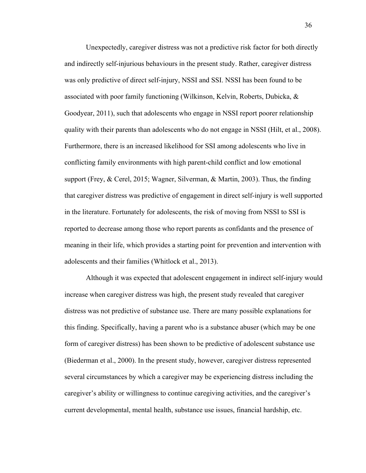Unexpectedly, caregiver distress was not a predictive risk factor for both directly and indirectly self-injurious behaviours in the present study. Rather, caregiver distress was only predictive of direct self-injury, NSSI and SSI. NSSI has been found to be associated with poor family functioning (Wilkinson, Kelvin, Roberts, Dubicka, & Goodyear, 2011), such that adolescents who engage in NSSI report poorer relationship quality with their parents than adolescents who do not engage in NSSI (Hilt, et al., 2008). Furthermore, there is an increased likelihood for SSI among adolescents who live in conflicting family environments with high parent-child conflict and low emotional support (Frey, & Cerel, 2015; Wagner, Silverman, & Martin, 2003). Thus, the finding that caregiver distress was predictive of engagement in direct self-injury is well supported in the literature. Fortunately for adolescents, the risk of moving from NSSI to SSI is reported to decrease among those who report parents as confidants and the presence of meaning in their life, which provides a starting point for prevention and intervention with adolescents and their families (Whitlock et al., 2013).

Although it was expected that adolescent engagement in indirect self-injury would increase when caregiver distress was high, the present study revealed that caregiver distress was not predictive of substance use. There are many possible explanations for this finding. Specifically, having a parent who is a substance abuser (which may be one form of caregiver distress) has been shown to be predictive of adolescent substance use (Biederman et al., 2000). In the present study, however, caregiver distress represented several circumstances by which a caregiver may be experiencing distress including the caregiver's ability or willingness to continue caregiving activities, and the caregiver's current developmental, mental health, substance use issues, financial hardship, etc.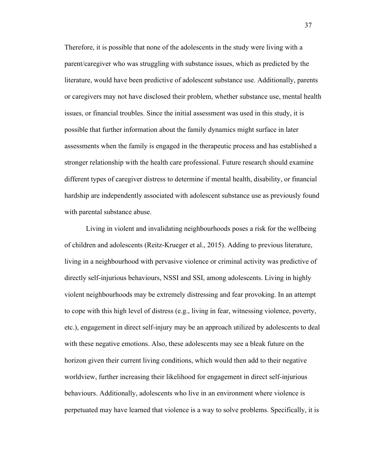Therefore, it is possible that none of the adolescents in the study were living with a parent/caregiver who was struggling with substance issues, which as predicted by the literature, would have been predictive of adolescent substance use. Additionally, parents or caregivers may not have disclosed their problem, whether substance use, mental health issues, or financial troubles. Since the initial assessment was used in this study, it is possible that further information about the family dynamics might surface in later assessments when the family is engaged in the therapeutic process and has established a stronger relationship with the health care professional. Future research should examine different types of caregiver distress to determine if mental health, disability, or financial hardship are independently associated with adolescent substance use as previously found with parental substance abuse.

Living in violent and invalidating neighbourhoods poses a risk for the wellbeing of children and adolescents (Reitz-Krueger et al., 2015). Adding to previous literature, living in a neighbourhood with pervasive violence or criminal activity was predictive of directly self-injurious behaviours, NSSI and SSI, among adolescents. Living in highly violent neighbourhoods may be extremely distressing and fear provoking. In an attempt to cope with this high level of distress (e.g., living in fear, witnessing violence, poverty, etc.), engagement in direct self-injury may be an approach utilized by adolescents to deal with these negative emotions. Also, these adolescents may see a bleak future on the horizon given their current living conditions, which would then add to their negative worldview, further increasing their likelihood for engagement in direct self-injurious behaviours. Additionally, adolescents who live in an environment where violence is perpetuated may have learned that violence is a way to solve problems. Specifically, it is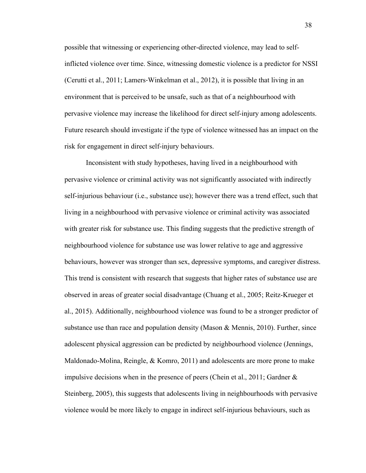possible that witnessing or experiencing other-directed violence, may lead to selfinflicted violence over time. Since, witnessing domestic violence is a predictor for NSSI (Cerutti et al., 2011; Lamers-Winkelman et al., 2012), it is possible that living in an environment that is perceived to be unsafe, such as that of a neighbourhood with pervasive violence may increase the likelihood for direct self-injury among adolescents. Future research should investigate if the type of violence witnessed has an impact on the risk for engagement in direct self-injury behaviours.

Inconsistent with study hypotheses, having lived in a neighbourhood with pervasive violence or criminal activity was not significantly associated with indirectly self-injurious behaviour (i.e., substance use); however there was a trend effect, such that living in a neighbourhood with pervasive violence or criminal activity was associated with greater risk for substance use. This finding suggests that the predictive strength of neighbourhood violence for substance use was lower relative to age and aggressive behaviours, however was stronger than sex, depressive symptoms, and caregiver distress. This trend is consistent with research that suggests that higher rates of substance use are observed in areas of greater social disadvantage (Chuang et al., 2005; Reitz-Krueger et al., 2015). Additionally, neighbourhood violence was found to be a stronger predictor of substance use than race and population density (Mason  $\&$  Mennis, 2010). Further, since adolescent physical aggression can be predicted by neighbourhood violence (Jennings, Maldonado-Molina, Reingle,  $&$  Komro, 2011) and adolescents are more prone to make impulsive decisions when in the presence of peers (Chein et al., 2011; Gardner & Steinberg, 2005), this suggests that adolescents living in neighbourhoods with pervasive violence would be more likely to engage in indirect self-injurious behaviours, such as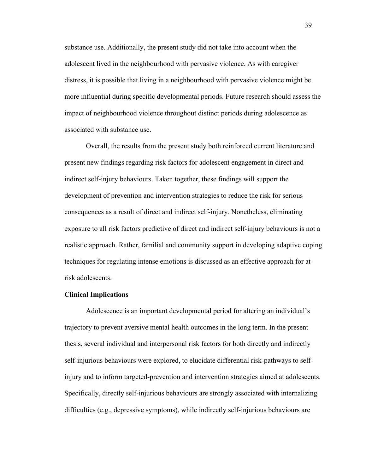substance use. Additionally, the present study did not take into account when the adolescent lived in the neighbourhood with pervasive violence. As with caregiver distress, it is possible that living in a neighbourhood with pervasive violence might be more influential during specific developmental periods. Future research should assess the impact of neighbourhood violence throughout distinct periods during adolescence as associated with substance use.

Overall, the results from the present study both reinforced current literature and present new findings regarding risk factors for adolescent engagement in direct and indirect self-injury behaviours. Taken together, these findings will support the development of prevention and intervention strategies to reduce the risk for serious consequences as a result of direct and indirect self-injury. Nonetheless, eliminating exposure to all risk factors predictive of direct and indirect self-injury behaviours is not a realistic approach. Rather, familial and community support in developing adaptive coping techniques for regulating intense emotions is discussed as an effective approach for atrisk adolescents.

#### **Clinical Implications**

Adolescence is an important developmental period for altering an individual's trajectory to prevent aversive mental health outcomes in the long term. In the present thesis, several individual and interpersonal risk factors for both directly and indirectly self-injurious behaviours were explored, to elucidate differential risk-pathways to selfinjury and to inform targeted-prevention and intervention strategies aimed at adolescents. Specifically, directly self-injurious behaviours are strongly associated with internalizing difficulties (e.g., depressive symptoms), while indirectly self-injurious behaviours are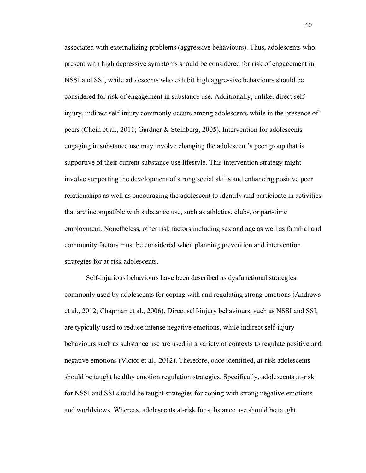associated with externalizing problems (aggressive behaviours). Thus, adolescents who present with high depressive symptoms should be considered for risk of engagement in NSSI and SSI, while adolescents who exhibit high aggressive behaviours should be considered for risk of engagement in substance use. Additionally, unlike, direct selfinjury, indirect self-injury commonly occurs among adolescents while in the presence of peers (Chein et al., 2011; Gardner & Steinberg, 2005). Intervention for adolescents engaging in substance use may involve changing the adolescent's peer group that is supportive of their current substance use lifestyle. This intervention strategy might involve supporting the development of strong social skills and enhancing positive peer relationships as well as encouraging the adolescent to identify and participate in activities that are incompatible with substance use, such as athletics, clubs, or part-time employment. Nonetheless, other risk factors including sex and age as well as familial and community factors must be considered when planning prevention and intervention strategies for at-risk adolescents.

Self-injurious behaviours have been described as dysfunctional strategies commonly used by adolescents for coping with and regulating strong emotions (Andrews et al., 2012; Chapman et al., 2006). Direct self-injury behaviours, such as NSSI and SSI, are typically used to reduce intense negative emotions, while indirect self-injury behaviours such as substance use are used in a variety of contexts to regulate positive and negative emotions (Victor et al., 2012). Therefore, once identified, at-risk adolescents should be taught healthy emotion regulation strategies. Specifically, adolescents at-risk for NSSI and SSI should be taught strategies for coping with strong negative emotions and worldviews. Whereas, adolescents at-risk for substance use should be taught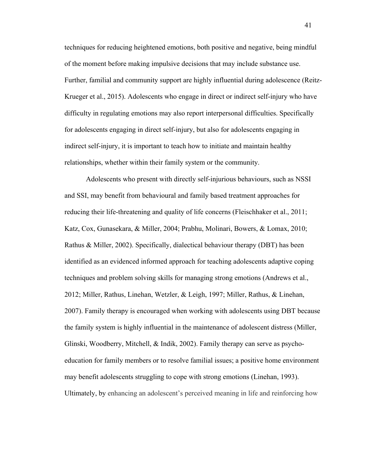techniques for reducing heightened emotions, both positive and negative, being mindful of the moment before making impulsive decisions that may include substance use. Further, familial and community support are highly influential during adolescence (Reitz-Krueger et al., 2015). Adolescents who engage in direct or indirect self-injury who have difficulty in regulating emotions may also report interpersonal difficulties. Specifically for adolescents engaging in direct self-injury, but also for adolescents engaging in indirect self-injury, it is important to teach how to initiate and maintain healthy relationships, whether within their family system or the community.

Adolescents who present with directly self-injurious behaviours, such as NSSI and SSI, may benefit from behavioural and family based treatment approaches for reducing their life-threatening and quality of life concerns (Fleischhaker et al., 2011; Katz, Cox, Gunasekara, & Miller, 2004; Prabhu, Molinari, Bowers, & Lomax, 2010; Rathus & Miller, 2002). Specifically, dialectical behaviour therapy (DBT) has been identified as an evidenced informed approach for teaching adolescents adaptive coping techniques and problem solving skills for managing strong emotions (Andrews et al., 2012; Miller, Rathus, Linehan, Wetzler, & Leigh, 1997; Miller, Rathus, & Linehan, 2007). Family therapy is encouraged when working with adolescents using DBT because the family system is highly influential in the maintenance of adolescent distress (Miller, Glinski, Woodberry, Mitchell, & Indik, 2002). Family therapy can serve as psychoeducation for family members or to resolve familial issues; a positive home environment may benefit adolescents struggling to cope with strong emotions (Linehan, 1993). Ultimately, by enhancing an adolescent's perceived meaning in life and reinforcing how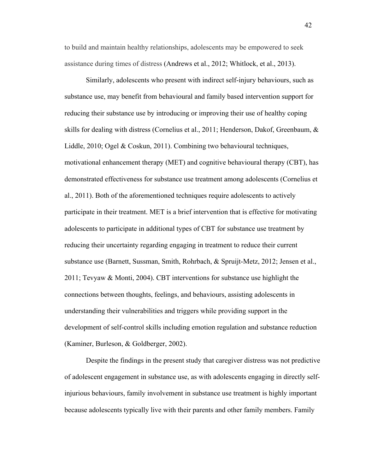to build and maintain healthy relationships, adolescents may be empowered to seek assistance during times of distress (Andrews et al., 2012; Whitlock, et al., 2013).

Similarly, adolescents who present with indirect self-injury behaviours, such as substance use, may benefit from behavioural and family based intervention support for reducing their substance use by introducing or improving their use of healthy coping skills for dealing with distress (Cornelius et al., 2011; Henderson, Dakof, Greenbaum, & Liddle, 2010; Ogel & Coskun, 2011). Combining two behavioural techniques, motivational enhancement therapy (MET) and cognitive behavioural therapy (CBT), has demonstrated effectiveness for substance use treatment among adolescents (Cornelius et al., 2011). Both of the aforementioned techniques require adolescents to actively participate in their treatment. MET is a brief intervention that is effective for motivating adolescents to participate in additional types of CBT for substance use treatment by reducing their uncertainty regarding engaging in treatment to reduce their current substance use (Barnett, Sussman, Smith, Rohrbach, & Spruijt-Metz, 2012; Jensen et al., 2011; Tevyaw & Monti, 2004). CBT interventions for substance use highlight the connections between thoughts, feelings, and behaviours, assisting adolescents in understanding their vulnerabilities and triggers while providing support in the development of self-control skills including emotion regulation and substance reduction (Kaminer, Burleson, & Goldberger, 2002).

Despite the findings in the present study that caregiver distress was not predictive of adolescent engagement in substance use, as with adolescents engaging in directly selfinjurious behaviours, family involvement in substance use treatment is highly important because adolescents typically live with their parents and other family members. Family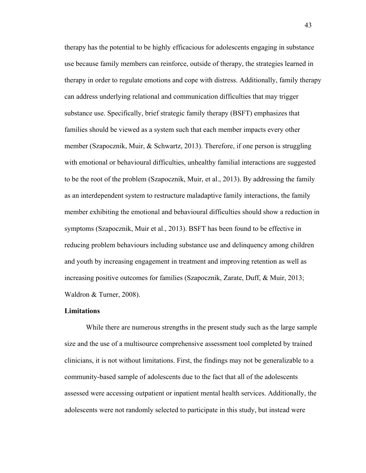therapy has the potential to be highly efficacious for adolescents engaging in substance use because family members can reinforce, outside of therapy, the strategies learned in therapy in order to regulate emotions and cope with distress. Additionally, family therapy can address underlying relational and communication difficulties that may trigger substance use. Specifically, brief strategic family therapy (BSFT) emphasizes that families should be viewed as a system such that each member impacts every other member (Szapocznik, Muir, & Schwartz, 2013). Therefore, if one person is struggling with emotional or behavioural difficulties, unhealthy familial interactions are suggested to be the root of the problem (Szapocznik, Muir, et al., 2013). By addressing the family as an interdependent system to restructure maladaptive family interactions, the family member exhibiting the emotional and behavioural difficulties should show a reduction in symptoms (Szapocznik, Muir et al., 2013). BSFT has been found to be effective in reducing problem behaviours including substance use and delinquency among children and youth by increasing engagement in treatment and improving retention as well as increasing positive outcomes for families (Szapocznik, Zarate, Duff, & Muir, 2013; Waldron & Turner, 2008).

#### **Limitations**

While there are numerous strengths in the present study such as the large sample size and the use of a multisource comprehensive assessment tool completed by trained clinicians, it is not without limitations. First, the findings may not be generalizable to a community-based sample of adolescents due to the fact that all of the adolescents assessed were accessing outpatient or inpatient mental health services. Additionally, the adolescents were not randomly selected to participate in this study, but instead were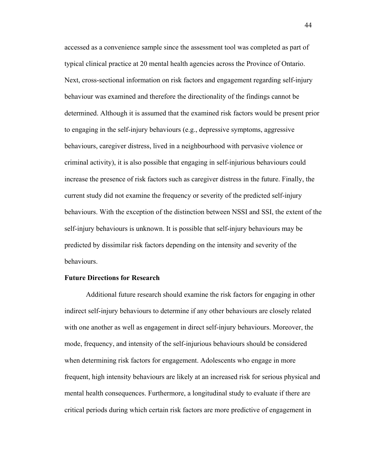accessed as a convenience sample since the assessment tool was completed as part of typical clinical practice at 20 mental health agencies across the Province of Ontario. Next, cross-sectional information on risk factors and engagement regarding self-injury behaviour was examined and therefore the directionality of the findings cannot be determined. Although it is assumed that the examined risk factors would be present prior to engaging in the self-injury behaviours (e.g., depressive symptoms, aggressive behaviours, caregiver distress, lived in a neighbourhood with pervasive violence or criminal activity), it is also possible that engaging in self-injurious behaviours could increase the presence of risk factors such as caregiver distress in the future. Finally, the current study did not examine the frequency or severity of the predicted self-injury behaviours. With the exception of the distinction between NSSI and SSI, the extent of the self-injury behaviours is unknown. It is possible that self-injury behaviours may be predicted by dissimilar risk factors depending on the intensity and severity of the behaviours.

#### **Future Directions for Research**

Additional future research should examine the risk factors for engaging in other indirect self-injury behaviours to determine if any other behaviours are closely related with one another as well as engagement in direct self-injury behaviours. Moreover, the mode, frequency, and intensity of the self-injurious behaviours should be considered when determining risk factors for engagement. Adolescents who engage in more frequent, high intensity behaviours are likely at an increased risk for serious physical and mental health consequences. Furthermore, a longitudinal study to evaluate if there are critical periods during which certain risk factors are more predictive of engagement in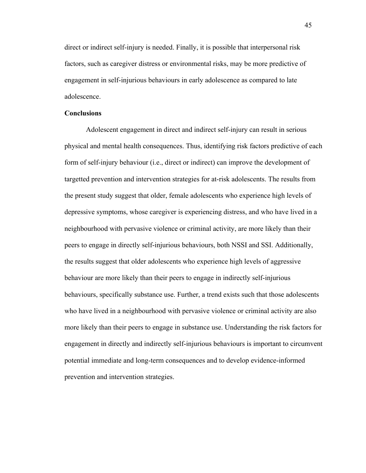direct or indirect self-injury is needed. Finally, it is possible that interpersonal risk factors, such as caregiver distress or environmental risks, may be more predictive of engagement in self-injurious behaviours in early adolescence as compared to late adolescence.

#### **Conclusions**

Adolescent engagement in direct and indirect self-injury can result in serious physical and mental health consequences. Thus, identifying risk factors predictive of each form of self-injury behaviour (i.e., direct or indirect) can improve the development of targetted prevention and intervention strategies for at-risk adolescents. The results from the present study suggest that older, female adolescents who experience high levels of depressive symptoms, whose caregiver is experiencing distress, and who have lived in a neighbourhood with pervasive violence or criminal activity, are more likely than their peers to engage in directly self-injurious behaviours, both NSSI and SSI. Additionally, the results suggest that older adolescents who experience high levels of aggressive behaviour are more likely than their peers to engage in indirectly self-injurious behaviours, specifically substance use. Further, a trend exists such that those adolescents who have lived in a neighbourhood with pervasive violence or criminal activity are also more likely than their peers to engage in substance use. Understanding the risk factors for engagement in directly and indirectly self-injurious behaviours is important to circumvent potential immediate and long-term consequences and to develop evidence-informed prevention and intervention strategies.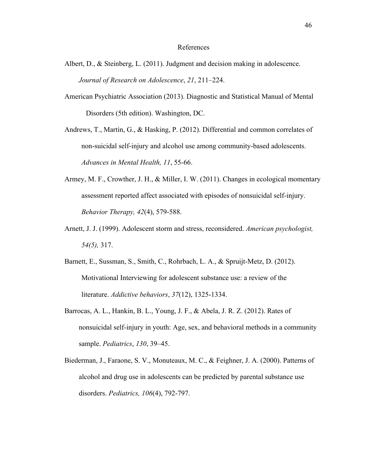#### References

- Albert, D., & Steinberg, L. (2011). Judgment and decision making in adolescence. *Journal of Research on Adolescence*, *21*, 211–224.
- American Psychiatric Association (2013). Diagnostic and Statistical Manual of Mental Disorders (5th edition). Washington, DC.

Andrews, T., Martin, G., & Hasking, P. (2012). Differential and common correlates of non-suicidal self-injury and alcohol use among community-based adolescents. *Advances in Mental Health, 11*, 55-66.

- Armey, M. F., Crowther, J. H., & Miller, I. W. (2011). Changes in ecological momentary assessment reported affect associated with episodes of nonsuicidal self-injury. *Behavior Therapy, 42*(4), 579-588.
- Arnett, J. J. (1999). Adolescent storm and stress, reconsidered. *American psychologist, 54(5),* 317.
- Barnett, E., Sussman, S., Smith, C., Rohrbach, L. A., & Spruijt-Metz, D. (2012). Motivational Interviewing for adolescent substance use: a review of the literature. *Addictive behaviors*, *37*(12), 1325-1334.
- Barrocas, A. L., Hankin, B. L., Young, J. F., & Abela, J. R. Z. (2012). Rates of nonsuicidal self-injury in youth: Age, sex, and behavioral methods in a community sample. *Pediatrics*, *130*, 39–45.
- Biederman, J., Faraone, S. V., Monuteaux, M. C., & Feighner, J. A. (2000). Patterns of alcohol and drug use in adolescents can be predicted by parental substance use disorders. *Pediatrics, 106*(4), 792-797.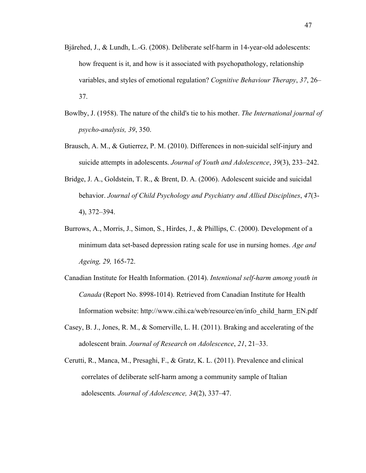- Bjärehed, J., & Lundh, L.-G. (2008). Deliberate self-harm in 14-year-old adolescents: how frequent is it, and how is it associated with psychopathology, relationship variables, and styles of emotional regulation? *Cognitive Behaviour Therapy*, *37*, 26– 37.
- Bowlby, J. (1958). The nature of the child's tie to his mother. *The International journal of psycho-analysis, 39*, 350.
- Brausch, A. M., & Gutierrez, P. M. (2010). Differences in non-suicidal self-injury and suicide attempts in adolescents. *Journal of Youth and Adolescence*, *39*(3), 233–242.
- Bridge, J. A., Goldstein, T. R., & Brent, D. A. (2006). Adolescent suicide and suicidal behavior. *Journal of Child Psychology and Psychiatry and Allied Disciplines*, *47*(3- 4), 372–394.
- Burrows, A., Morris, J., Simon, S., Hirdes, J., & Phillips, C. (2000). Development of a minimum data set-based depression rating scale for use in nursing homes. *Age and Ageing, 29,* 165-72.
- Canadian Institute for Health Information. (2014). *Intentional self-harm among youth in Canada* (Report No. 8998-1014). Retrieved from Canadian Institute for Health Information website: http://www.cihi.ca/web/resource/en/info\_child\_harm\_EN.pdf
- Casey, B. J., Jones, R. M., & Somerville, L. H. (2011). Braking and accelerating of the adolescent brain. *Journal of Research on Adolescence*, *21*, 21–33.
- Cerutti, R., Manca, M., Presaghi, F., & Gratz, K. L. (2011). Prevalence and clinical correlates of deliberate self-harm among a community sample of Italian adolescents*. Journal of Adolescence, 34*(2), 337–47.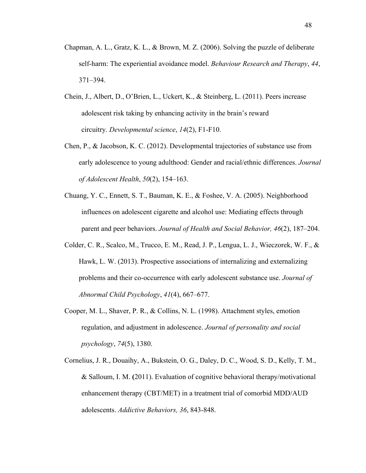- Chapman, A. L., Gratz, K. L., & Brown, M. Z. (2006). Solving the puzzle of deliberate self-harm: The experiential avoidance model. *Behaviour Research and Therapy*, *44*, 371–394.
- Chein, J., Albert, D., O'Brien, L., Uckert, K., & Steinberg, L. (2011). Peers increase adolescent risk taking by enhancing activity in the brain's reward circuitry. *Developmental science*, *14*(2), F1-F10.
- Chen, P., & Jacobson, K. C. (2012). Developmental trajectories of substance use from early adolescence to young adulthood: Gender and racial/ethnic differences. *Journal of Adolescent Health*, *50*(2), 154–163.
- Chuang, Y. C., Ennett, S. T., Bauman, K. E., & Foshee, V. A. (2005). Neighborhood influences on adolescent cigarette and alcohol use: Mediating effects through parent and peer behaviors. *Journal of Health and Social Behavior, 46*(2), 187–204.
- Colder, C. R., Scalco, M., Trucco, E. M., Read, J. P., Lengua, L. J., Wieczorek, W. F., & Hawk, L. W. (2013). Prospective associations of internalizing and externalizing problems and their co-occurrence with early adolescent substance use. *Journal of Abnormal Child Psychology*, *41*(4), 667–677.
- Cooper, M. L., Shaver, P. R., & Collins, N. L. (1998). Attachment styles, emotion regulation, and adjustment in adolescence. *Journal of personality and social psychology*, *74*(5), 1380.
- Cornelius, J. R., Douaihy, A., Bukstein, O. G., Daley, D. C., Wood, S. D., Kelly, T. M., & Salloum, I. M. **(**2011). Evaluation of cognitive behavioral therapy/motivational enhancement therapy (CBT/MET) in a treatment trial of comorbid MDD/AUD adolescents. *Addictive Behaviors, 36*, 843-848.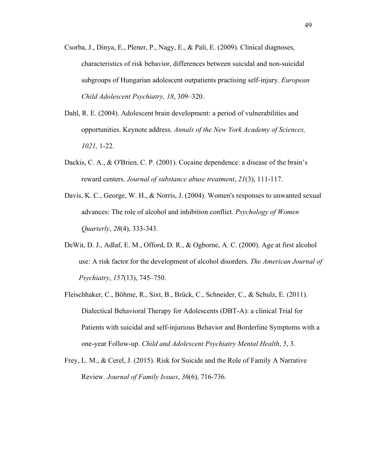- Csorba, J., Dinya, E., Plener, P., Nagy, E., & Pali, E. (2009). Clinical diagnoses, characteristics of risk behavior, differences between suicidal and non-suicidal subgroups of Hungarian adolescent outpatients practising self-injury. *European Child Adolescent Psychiatry, 18*, 309–320.
- Dahl, R. E. (2004). Adolescent brain development: a period of vulnerabilities and opportunities. Keynote address. *Annals of the New York Academy of Sciences, 1021,* 1-22.
- Dackis, C. A., & O'Brien, C. P. (2001). Cocaine dependence: a disease of the brain's reward centers. *Journal of substance abuse treatment*, *21*(3), 111-117.
- Davis, K. C., George, W. H., & Norris, J. (2004). Women's responses to unwanted sexual advances: The role of alcohol and inhibition conflict. *Psychology of Women Quarterly*, *28*(4), 333-343.
- DeWit, D. J., Adlaf, E. M., Offord, D. R., & Ogborne, A. C. (2000). Age at first alcohol use: A risk factor for the development of alcohol disorders. *The American Journal of Psychiatry*, *157*(13), 745–750.
- Fleischhaker, C., Böhme, R., Sixt, B., Brück, C., Schneider, C., & Schulz, E. (2011). Dialectical Behavioral Therapy for Adolescents (DBT-A): a clinical Trial for Patients with suicidal and self-injurious Behavior and Borderline Symptoms with a one-year Follow-up. *Child and Adolescent Psychiatry Mental Health*, *5*, 3.
- Frey, L. M., & Cerel, J. (2015). Risk for Suicide and the Role of Family A Narrative Review. *Journal of Family Issues*, *36*(6), 716-736.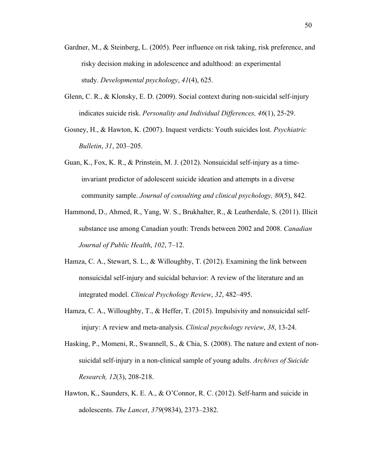- Gardner, M., & Steinberg, L. (2005). Peer influence on risk taking, risk preference, and risky decision making in adolescence and adulthood: an experimental study. *Developmental psychology*, *41*(4), 625.
- Glenn, C. R., & Klonsky, E. D. (2009). Social context during non-suicidal self-injury indicates suicide risk. *Personality and Individual Differences, 46*(1), 25-29.
- Gosney, H., & Hawton, K. (2007). Inquest verdicts: Youth suicides lost. *Psychiatric Bulletin*, *31*, 203–205.
- Guan, K., Fox, K. R., & Prinstein, M. J. (2012). Nonsuicidal self-injury as a timeinvariant predictor of adolescent suicide ideation and attempts in a diverse community sample. *Journal of consulting and clinical psychology, 80*(5), 842.
- Hammond, D., Ahmed, R., Yang, W. S., Brukhalter, R., & Leatherdale, S. (2011). Illicit substance use among Canadian youth: Trends between 2002 and 2008. *Canadian Journal of Public Health*, *102*, 7–12.
- Hamza, C. A., Stewart, S. L., & Willoughby, T. (2012). Examining the link between nonsuicidal self-injury and suicidal behavior: A review of the literature and an integrated model. *Clinical Psychology Review*, *32*, 482–495.
- Hamza, C. A., Willoughby, T., & Heffer, T. (2015). Impulsivity and nonsuicidal selfinjury: A review and meta-analysis. *Clinical psychology review*, *38*, 13-24.
- Hasking, P., Momeni, R., Swannell, S., & Chia, S. (2008). The nature and extent of nonsuicidal self-injury in a non-clinical sample of young adults. *Archives of Suicide Research, 12*(3), 208-218.
- Hawton, K., Saunders, K. E. A., & O'Connor, R. C. (2012). Self-harm and suicide in adolescents. *The Lancet*, *379*(9834), 2373–2382.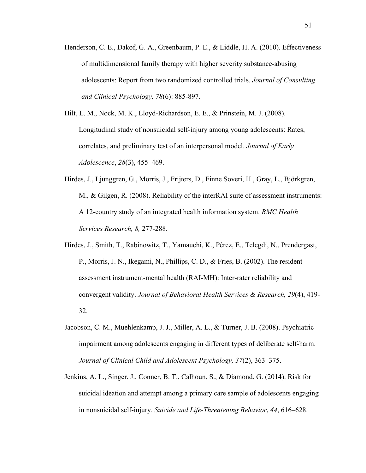- Henderson, C. E., Dakof, G. A., Greenbaum, P. E., & Liddle, H. A. (2010). Effectiveness of multidimensional family therapy with higher severity substance-abusing adolescents: Report from two randomized controlled trials. *Journal of Consulting and Clinical Psychology, 78*(6): 885-897.
- Hilt, L. M., Nock, M. K., Lloyd-Richardson, E. E., & Prinstein, M. J. (2008). Longitudinal study of nonsuicidal self-injury among young adolescents: Rates, correlates, and preliminary test of an interpersonal model. *Journal of Early Adolescence*, *28*(3), 455–469.
- Hirdes, J., Ljunggren, G., Morris, J., Frijters, D., Finne Soveri, H., Gray, L., Björkgren, M., & Gilgen, R. (2008). Reliability of the interRAI suite of assessment instruments: A 12-country study of an integrated health information system. *BMC Health Services Research, 8,* 277-288.
- Hirdes, J., Smith, T., Rabinowitz, T., Yamauchi, K., Pérez, E., Telegdi, N., Prendergast, P., Morris, J. N., Ikegami, N., Phillips, C. D., & Fries, B. (2002). The resident assessment instrument-mental health (RAI-MH): Inter-rater reliability and convergent validity. *Journal of Behavioral Health Services & Research, 29*(4), 419- 32.
- Jacobson, C. M., Muehlenkamp, J. J., Miller, A. L., & Turner, J. B. (2008). Psychiatric impairment among adolescents engaging in different types of deliberate self-harm. *Journal of Clinical Child and Adolescent Psychology, 37*(2), 363–375.
- Jenkins, A. L., Singer, J., Conner, B. T., Calhoun, S., & Diamond, G. (2014). Risk for suicidal ideation and attempt among a primary care sample of adolescents engaging in nonsuicidal self-injury. *Suicide and Life-Threatening Behavior*, *44*, 616–628.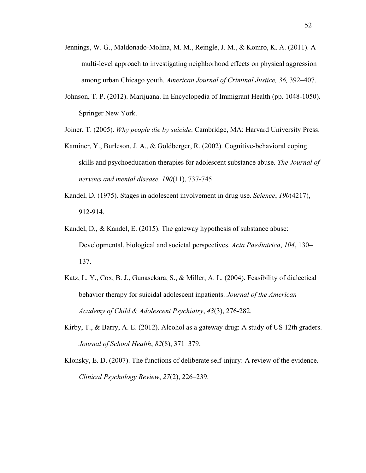- Jennings, W. G., Maldonado-Molina, M. M., Reingle, J. M., & Komro, K. A. (2011). A multi-level approach to investigating neighborhood effects on physical aggression among urban Chicago youth. *American Journal of Criminal Justice, 36,* 392–407.
- Johnson, T. P. (2012). Marijuana. In Encyclopedia of Immigrant Health (pp. 1048-1050). Springer New York.

Joiner, T. (2005). *Why people die by suicide*. Cambridge, MA: Harvard University Press.

- Kaminer, Y., Burleson, J. A., & Goldberger, R. (2002). Cognitive-behavioral coping skills and psychoeducation therapies for adolescent substance abuse. *The Journal of nervous and mental disease, 190*(11), 737-745.
- Kandel, D. (1975). Stages in adolescent involvement in drug use. *Science*, *190*(4217), 912-914.
- Kandel, D., & Kandel, E. (2015). The gateway hypothesis of substance abuse: Developmental, biological and societal perspectives. *Acta Paediatrica*, *104*, 130– 137.
- Katz, L. Y., Cox, B. J., Gunasekara, S., & Miller, A. L. (2004). Feasibility of dialectical behavior therapy for suicidal adolescent inpatients. *Journal of the American Academy of Child & Adolescent Psychiatry*, *43*(3), 276-282.
- Kirby, T., & Barry, A. E. (2012). Alcohol as a gateway drug: A study of US 12th graders. *Journal of School Health*, *82*(8), 371–379.
- Klonsky, E. D. (2007). The functions of deliberate self-injury: A review of the evidence. *Clinical Psychology Review*, *27*(2), 226–239.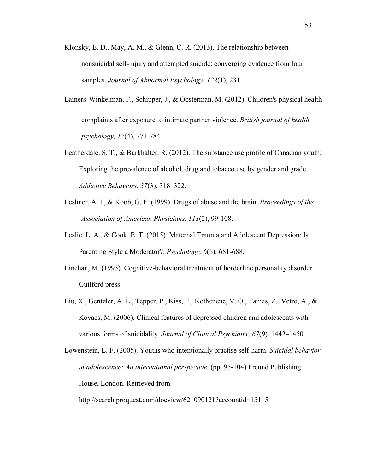- Klonsky, E. D., May, A. M., & Glenn, C. R. (2013). The relationship between nonsuicidal self-injury and attempted suicide: converging evidence from four samples. *Journal of Abnormal Psychology, 122*(1), 231.
- Lamers**-**Winkelman, F., Schipper, J., & Oosterman, M. (2012). Children's physical health complaints after exposure to intimate partner violence. *British journal of health psychology, 17*(4), 771-784.
- Leatherdale, S. T., & Burkhalter, R. (2012). The substance use profile of Canadian youth: Exploring the prevalence of alcohol, drug and tobacco use by gender and grade. *Addictive Behaviors*, *37*(3), 318–322.
- Leshner, A. I., & Koob, G. F. (1999). Drugs of abuse and the brain. *Proceedings of the Association of American Physicians*, *111*(2), 99-108.
- Leslie, L. A., & Cook, E. T. (2015). Maternal Trauma and Adolescent Depression: Is Parenting Style a Moderator?. *Psychology, 6*(6), 681-688.
- Linehan, M. (1993). Cognitive-behavioral treatment of borderline personality disorder. Guilford press.
- Liu, X., Gentzler, A. L., Tepper, P., Kiss, E., Kothencne, V. O., Tamas, Z., Vetro, A., & Kovacs, M. (2006). Clinical features of depressed children and adolescents with various forms of suicidality. *Journal of Clinical Psychiatry*, *67*(9), 1442–1450.

```
Lowenstein, L. F. (2005). Youths who intentionally practise self-harm. Suicidal behavior 
in adolescence: An international perspective. (pp. 95-104) Freund Publishing 
House, London. Retrieved from
```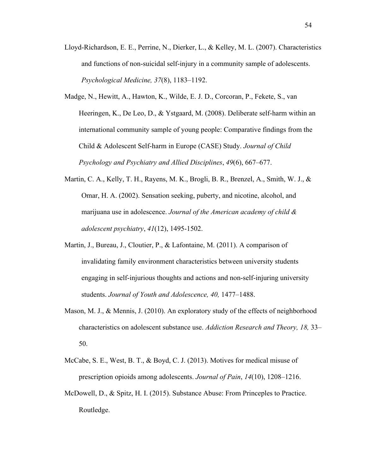- Lloyd-Richardson, E. E., Perrine, N., Dierker, L., & Kelley, M. L. (2007). Characteristics and functions of non-suicidal self-injury in a community sample of adolescents. *Psychological Medicine, 37*(8), 1183–1192.
- Madge, N., Hewitt, A., Hawton, K., Wilde, E. J. D., Corcoran, P., Fekete, S., van Heeringen, K., De Leo, D., & Ystgaard, M. (2008). Deliberate self-harm within an international community sample of young people: Comparative findings from the Child & Adolescent Self-harm in Europe (CASE) Study. *Journal of Child Psychology and Psychiatry and Allied Disciplines*, *49*(6), 667–677.
- Martin, C. A., Kelly, T. H., Rayens, M. K., Brogli, B. R., Brenzel, A., Smith, W. J., & Omar, H. A. (2002). Sensation seeking, puberty, and nicotine, alcohol, and marijuana use in adolescence. *Journal of the American academy of child & adolescent psychiatry*, *41*(12), 1495-1502.
- Martin, J., Bureau, J., Cloutier, P., & Lafontaine, M. (2011). A comparison of invalidating family environment characteristics between university students engaging in self-injurious thoughts and actions and non-self-injuring university students. *Journal of Youth and Adolescence, 40,* 1477–1488.
- Mason, M. J., & Mennis, J. (2010). An exploratory study of the effects of neighborhood characteristics on adolescent substance use. *Addiction Research and Theory, 18,* 33– 50.
- McCabe, S. E., West, B. T., & Boyd, C. J. (2013). Motives for medical misuse of prescription opioids among adolescents. *Journal of Pain*, *14*(10), 1208–1216.
- McDowell, D., & Spitz, H. I. (2015). Substance Abuse: From Princeples to Practice. Routledge.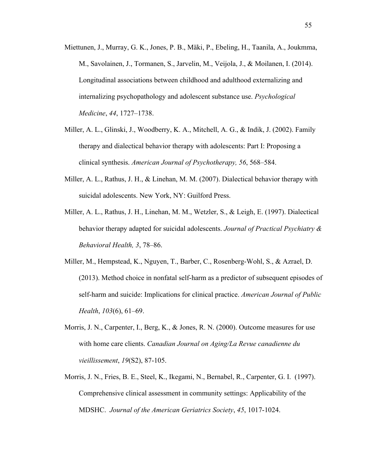- Miettunen, J., Murray, G. K., Jones, P. B., Mäki, P., Ebeling, H., Taanila, A., Joukmma, M., Savolainen, J., Tormanen, S., Jarvelin, M., Veijola, J., & Moilanen, I. (2014). Longitudinal associations between childhood and adulthood externalizing and internalizing psychopathology and adolescent substance use. *Psychological Medicine*, *44*, 1727–1738.
- Miller, A. L., Glinski, J., Woodberry, K. A., Mitchell, A. G., & Indik, J. (2002). Family therapy and dialectical behavior therapy with adolescents: Part I: Proposing a clinical synthesis. *American Journal of Psychotherapy, 56*, 568–584.
- Miller, A. L., Rathus, J. H., & Linehan, M. M. (2007). Dialectical behavior therapy with suicidal adolescents. New York, NY: Guilford Press.
- Miller, A. L., Rathus, J. H., Linehan, M. M., Wetzler, S., & Leigh, E. (1997). Dialectical behavior therapy adapted for suicidal adolescents. *Journal of Practical Psychiatry & Behavioral Health, 3*, 78–86.
- Miller, M., Hempstead, K., Nguyen, T., Barber, C., Rosenberg-Wohl, S., & Azrael, D. (2013). Method choice in nonfatal self-harm as a predictor of subsequent episodes of self-harm and suicide: Implications for clinical practice. *American Journal of Public Health*, *103*(6), 61–69.
- Morris, J. N., Carpenter, I., Berg, K., & Jones, R. N. (2000). Outcome measures for use with home care clients. *Canadian Journal on Aging/La Revue canadienne du vieillissement*, *19*(S2), 87-105.
- Morris, J. N., Fries, B. E., Steel, K., Ikegami, N., Bernabel, R., Carpenter, G. I. (1997). Comprehensive clinical assessment in community settings: Applicability of the MDSHC. *Journal of the American Geriatrics Society*, *45*, 1017-1024.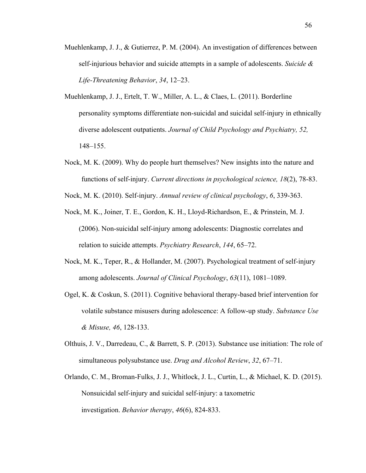- Muehlenkamp, J. J., & Gutierrez, P. M. (2004). An investigation of differences between self-injurious behavior and suicide attempts in a sample of adolescents. *Suicide & Life-Threatening Behavior*, *34*, 12–23.
- Muehlenkamp, J. J., Ertelt, T. W., Miller, A. L., & Claes, L. (2011). Borderline personality symptoms differentiate non-suicidal and suicidal self-injury in ethnically diverse adolescent outpatients. *Journal of Child Psychology and Psychiatry, 52,*  148–155.
- Nock, M. K. (2009). Why do people hurt themselves? New insights into the nature and functions of self-injury. *Current directions in psychological science, 18*(2), 78-83.
- Nock, M. K. (2010). Self-injury. *Annual review of clinical psychology*, *6*, 339-363.
- Nock, M. K., Joiner, T. E., Gordon, K. H., Lloyd-Richardson, E., & Prinstein, M. J. (2006). Non-suicidal self-injury among adolescents: Diagnostic correlates and relation to suicide attempts. *Psychiatry Research*, *144*, 65–72.
- Nock, M. K., Teper, R., & Hollander, M. (2007). Psychological treatment of self-injury among adolescents. *Journal of Clinical Psychology*, *63*(11), 1081–1089.
- Ogel, K. & Coskun, S. (2011). Cognitive behavioral therapy-based brief intervention for volatile substance misusers during adolescence: A follow-up study. *Substance Use & Misuse, 46*, 128-133.
- Olthuis, J. V., Darredeau, C., & Barrett, S. P. (2013). Substance use initiation: The role of simultaneous polysubstance use. *Drug and Alcohol Review*, *32*, 67–71.
- Orlando, C. M., Broman-Fulks, J. J., Whitlock, J. L., Curtin, L., & Michael, K. D. (2015). Nonsuicidal self-injury and suicidal self-injury: a taxometric investigation. *Behavior therapy*, *46*(6), 824-833.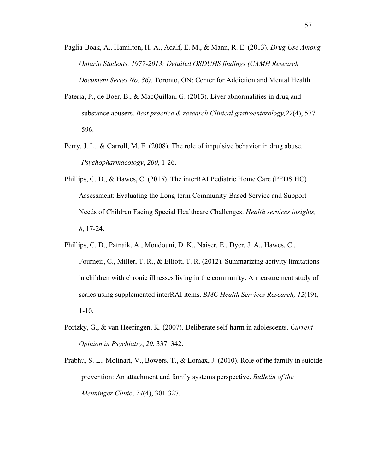- Paglia-Boak, A., Hamilton, H. A., Adalf, E. M., & Mann, R. E. (2013). *Drug Use Among Ontario Students, 1977-2013: Detailed OSDUHS findings (CAMH Research Document Series No. 36)*. Toronto, ON: Center for Addiction and Mental Health.
- Pateria, P., de Boer, B., & MacQuillan, G. (2013). Liver abnormalities in drug and substance abusers. *Best practice & research Clinical gastroenterology,27*(4), 577- 596.
- Perry, J. L., & Carroll, M. E. (2008). The role of impulsive behavior in drug abuse. *Psychopharmacology*, *200*, 1-26.
- Phillips, C. D., & Hawes, C. (2015). The interRAI Pediatric Home Care (PEDS HC) Assessment: Evaluating the Long-term Community-Based Service and Support Needs of Children Facing Special Healthcare Challenges. *Health services insights, 8*, 17-24.
- Phillips, C. D., Patnaik, A., Moudouni, D. K., Naiser, E., Dyer, J. A., Hawes, C., Fourneir, C., Miller, T. R., & Elliott, T. R. (2012). Summarizing activity limitations in children with chronic illnesses living in the community: A measurement study of scales using supplemented interRAI items. *BMC Health Services Research, 12*(19), 1-10.
- Portzky, G., & van Heeringen, K. (2007). Deliberate self-harm in adolescents. *Current Opinion in Psychiatry*, *20*, 337–342.
- Prabhu, S. L., Molinari, V., Bowers, T., & Lomax, J. (2010). Role of the family in suicide prevention: An attachment and family systems perspective. *Bulletin of the Menninger Clinic*, *74*(4), 301-327.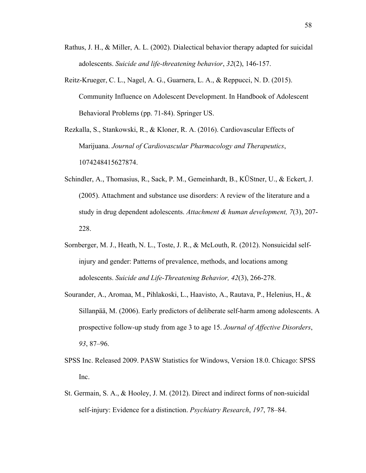- Rathus, J. H., & Miller, A. L. (2002). Dialectical behavior therapy adapted for suicidal adolescents. *Suicide and life-threatening behavior*, *32*(2), 146-157.
- Reitz-Krueger, C. L., Nagel, A. G., Guarnera, L. A., & Reppucci, N. D. (2015). Community Influence on Adolescent Development. In Handbook of Adolescent Behavioral Problems (pp. 71-84). Springer US.

Rezkalla, S., Stankowski, R., & Kloner, R. A. (2016). Cardiovascular Effects of Marijuana. *Journal of Cardiovascular Pharmacology and Therapeutics*, 1074248415627874.

- Schindler, A., Thomasius, R., Sack, P. M., Gemeinhardt, B., KÜStner, U., & Eckert, J. (2005). Attachment and substance use disorders: A review of the literature and a study in drug dependent adolescents. *Attachment & human development, 7*(3), 207- 228.
- Sornberger, M. J., Heath, N. L., Toste, J. R., & McLouth, R. (2012). Nonsuicidal selfinjury and gender: Patterns of prevalence, methods, and locations among adolescents. *Suicide and Life-Threatening Behavior, 42*(3), 266-278.
- Sourander, A., Aromaa, M., Pihlakoski, L., Haavisto, A., Rautava, P., Helenius, H., & Sillanpää, M. (2006). Early predictors of deliberate self-harm among adolescents. A prospective follow-up study from age 3 to age 15. *Journal of Affective Disorders*, *93*, 87–96.
- SPSS Inc. Released 2009. PASW Statistics for Windows, Version 18.0. Chicago: SPSS Inc.
- St. Germain, S. A., & Hooley, J. M. (2012). Direct and indirect forms of non-suicidal self-injury: Evidence for a distinction. *Psychiatry Research*, *197*, 78–84.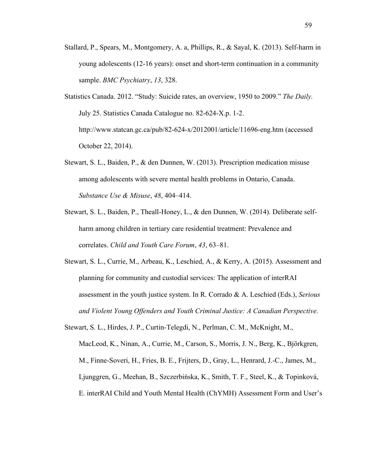Stallard, P., Spears, M., Montgomery, A. a, Phillips, R., & Sayal, K. (2013). Self-harm in young adolescents (12-16 years): onset and short-term continuation in a community sample. *BMC Psychiatry*, *13*, 328.

Statistics Canada. 2012. "Study: Suicide rates, an overview, 1950 to 2009." *The Daily.*  July 25. Statistics Canada Catalogue no. 82-624-X.p. 1-2. http://www.statcan.gc.ca/pub/82-624-x/2012001/article/11696-eng.htm (accessed October 22, 2014).

- Stewart, S. L., Baiden, P., & den Dunnen, W. (2013). Prescription medication misuse among adolescents with severe mental health problems in Ontario, Canada. *Substance Use & Misuse*, *48*, 404–414.
- Stewart, S. L., Baiden, P., Theall-Honey, L., & den Dunnen, W. (2014). Deliberate selfharm among children in tertiary care residential treatment: Prevalence and correlates. *Child and Youth Care Forum*, *43*, 63–81.
- Stewart, S. L., Currie, M., Arbeau, K., Leschied, A., & Kerry, A. (2015). Assessment and planning for community and custodial services: The application of interRAI assessment in the youth justice system. In R. Corrado & A. Leschied (Eds.), *Serious and Violent Young Offenders and Youth Criminal Justice: A Canadian Perspective.*

Stewart, S. L., Hirdes, J. P., Curtin-Telegdi, N., Perlman, C. M., McKnight, M., MacLeod, K., Ninan, A., Currie, M., Carson, S., Morris, J. N., Berg, K., Björkgren, M., Finne-Soveri, H., Fries, B. E., Frijters, D., Gray, L., Henrard, J.-C., James, M., Ljunggren, G., Meehan, B., Szczerbińska, K., Smith, T. F., Steel, K., & Topinková, E. interRAI Child and Youth Mental Health (ChYMH) Assessment Form and User's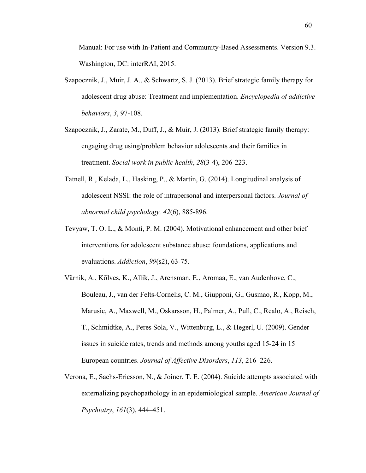Manual: For use with In-Patient and Community-Based Assessments. Version 9.3. Washington, DC: interRAI, 2015.

- Szapocznik, J., Muir, J. A., & Schwartz, S. J. (2013). Brief strategic family therapy for adolescent drug abuse: Treatment and implementation. *Encyclopedia of addictive behaviors*, *3*, 97-108.
- Szapocznik, J., Zarate, M., Duff, J., & Muir, J. (2013). Brief strategic family therapy: engaging drug using/problem behavior adolescents and their families in treatment. *Social work in public health*, *28*(3-4), 206-223.
- Tatnell, R., Kelada, L., Hasking, P., & Martin, G. (2014). Longitudinal analysis of adolescent NSSI: the role of intrapersonal and interpersonal factors. *Journal of abnormal child psychology, 42*(6), 885-896.
- Tevyaw, T. O. L., & Monti, P. M. (2004). Motivational enhancement and other brief interventions for adolescent substance abuse: foundations, applications and evaluations. *Addiction*, *99*(s2), 63-75.
- Värnik, A., Kõlves, K., Allik, J., Arensman, E., Aromaa, E., van Audenhove, C., Bouleau, J., van der Felts-Cornelis, C. M., Giupponi, G., Gusmao, R., Kopp, M., Marusic, A., Maxwell, M., Oskarsson, H., Palmer, A., Pull, C., Realo, A., Reisch, T., Schmidtke, A., Peres Sola, V., Wittenburg, L., & Hegerl, U. (2009). Gender issues in suicide rates, trends and methods among youths aged 15-24 in 15 European countries. *Journal of Affective Disorders*, *113*, 216–226.
- Verona, E., Sachs-Ericsson, N., & Joiner, T. E. (2004). Suicide attempts associated with externalizing psychopathology in an epidemiological sample. *American Journal of Psychiatry*, *161*(3), 444–451.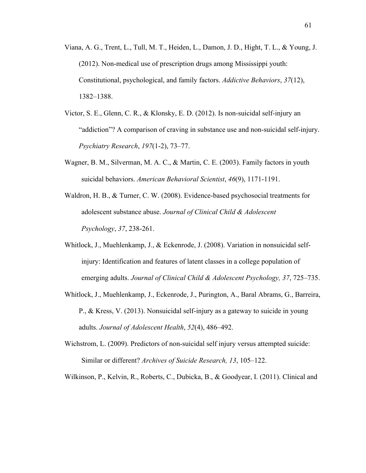- Viana, A. G., Trent, L., Tull, M. T., Heiden, L., Damon, J. D., Hight, T. L., & Young, J. (2012). Non-medical use of prescription drugs among Mississippi youth: Constitutional, psychological, and family factors. *Addictive Behaviors*, *37*(12), 1382–1388.
- Victor, S. E., Glenn, C. R., & Klonsky, E. D. (2012). Is non-suicidal self-injury an "addiction"? A comparison of craving in substance use and non-suicidal self-injury. *Psychiatry Research*, *197*(1-2), 73–77.
- Wagner, B. M., Silverman, M. A. C., & Martin, C. E. (2003). Family factors in youth suicidal behaviors. *American Behavioral Scientist*, *46*(9), 1171-1191.
- Waldron, H. B., & Turner, C. W. (2008). Evidence-based psychosocial treatments for adolescent substance abuse. *Journal of Clinical Child & Adolescent Psychology*, *37*, 238-261.
- Whitlock, J., Muehlenkamp, J., & Eckenrode, J. (2008). Variation in nonsuicidal selfinjury: Identification and features of latent classes in a college population of emerging adults. *Journal of Clinical Child & Adolescent Psychology, 37*, 725–735.
- Whitlock, J., Muehlenkamp, J., Eckenrode, J., Purington, A., Baral Abrams, G., Barreira, P., & Kress, V. (2013). Nonsuicidal self-injury as a gateway to suicide in young adults. *Journal of Adolescent Health*, *52*(4), 486–492.
- Wichstrom, L. (2009). Predictors of non-suicidal self injury versus attempted suicide: Similar or different? *Archives of Suicide Research, 13*, 105–122.

Wilkinson, P., Kelvin, R., Roberts, C., Dubicka, B., & Goodyear, I. (2011). Clinical and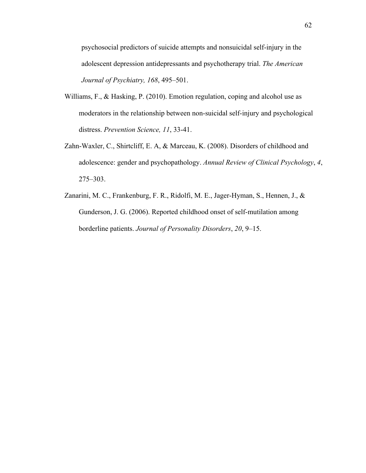psychosocial predictors of suicide attempts and nonsuicidal self-injury in the adolescent depression antidepressants and psychotherapy trial. *The American Journal of Psychiatry, 168*, 495–501.

- Williams, F., & Hasking, P. (2010). Emotion regulation, coping and alcohol use as moderators in the relationship between non-suicidal self-injury and psychological distress. *Prevention Science, 11*, 33-41.
- Zahn-Waxler, C., Shirtcliff, E. A, & Marceau, K. (2008). Disorders of childhood and adolescence: gender and psychopathology. *Annual Review of Clinical Psychology*, *4*, 275–303.
- Zanarini, M. C., Frankenburg, F. R., Ridolfi, M. E., Jager-Hyman, S., Hennen, J., & Gunderson, J. G. (2006). Reported childhood onset of self-mutilation among borderline patients. *Journal of Personality Disorders*, *20*, 9–15.